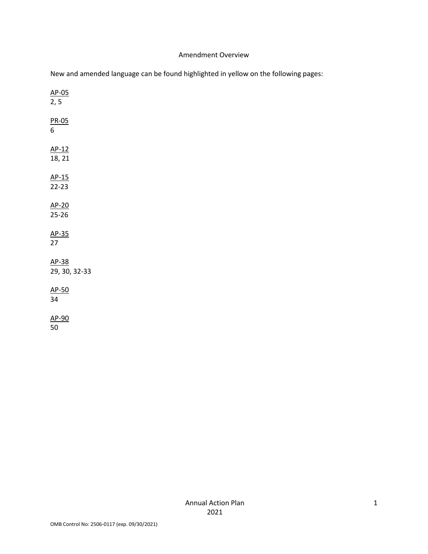#### Amendment Overview

| New and amended language can be found highlighted in yellow on the following pages: |  |  |  |
|-------------------------------------------------------------------------------------|--|--|--|
|-------------------------------------------------------------------------------------|--|--|--|

| $\frac{\text{AP}-05}{2,5}$                  |  |
|---------------------------------------------|--|
| <u>PR-05</u><br>6                           |  |
| $\frac{\text{AP-12}}{18, 21}$               |  |
| $\frac{\text{AP-15}}{\text{22-23}}$         |  |
| $\frac{\text{AP-20}}{\text{25-26}}$         |  |
| <u>AP-35</u><br>27                          |  |
| $\frac{\text{AP-38}}{\text{29, 30, 32-33}}$ |  |
| $\frac{\text{AP-50}}{\text{34}}$            |  |
| <u>AP-90</u><br>50                          |  |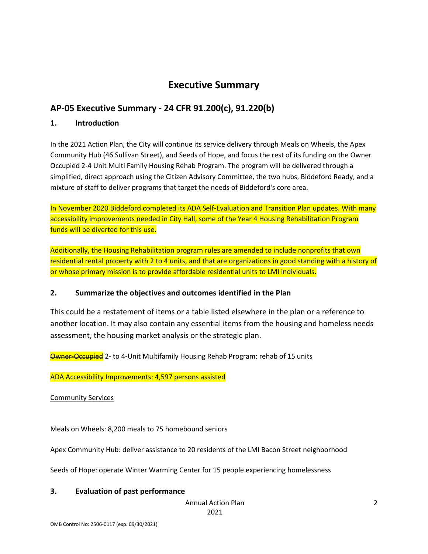# **Executive Summary**

## **AP-05 Executive Summary - 24 CFR 91.200(c), 91.220(b)**

#### **1. Introduction**

In the 2021 Action Plan, the City will continue its service delivery through Meals on Wheels, the Apex Community Hub (46 Sullivan Street), and Seeds of Hope, and focus the rest of its funding on the Owner Occupied 2-4 Unit Multi Family Housing Rehab Program. The program will be delivered through a simplified, direct approach using the Citizen Advisory Committee, the two hubs, Biddeford Ready, and a mixture of staff to deliver programs that target the needs of Biddeford's core area.

In November 2020 Biddeford completed its ADA Self-Evaluation and Transition Plan updates. With many accessibility improvements needed in City Hall, some of the Year 4 Housing Rehabilitation Program funds will be diverted for this use.

Additionally, the Housing Rehabilitation program rules are amended to include nonprofits that own residential rental property with 2 to 4 units, and that are organizations in good standing with a history of or whose primary mission is to provide affordable residential units to LMI individuals.

#### **2. Summarize the objectives and outcomes identified in the Plan**

This could be a restatement of items or a table listed elsewhere in the plan or a reference to another location. It may also contain any essential items from the housing and homeless needs assessment, the housing market analysis or the strategic plan.

**Owner-Occupied** 2- to 4-Unit Multifamily Housing Rehab Program: rehab of 15 units

ADA Accessibility Improvements: 4,597 persons assisted

Community Services

Meals on Wheels: 8,200 meals to 75 homebound seniors

Apex Community Hub: deliver assistance to 20 residents of the LMI Bacon Street neighborhood

Seeds of Hope: operate Winter Warming Center for 15 people experiencing homelessness

#### **3. Evaluation of past performance**

Annual Action Plan

2021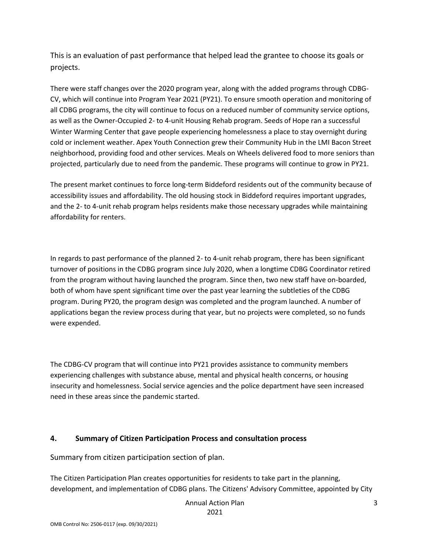This is an evaluation of past performance that helped lead the grantee to choose its goals or projects.

There were staff changes over the 2020 program year, along with the added programs through CDBG-CV, which will continue into Program Year 2021 (PY21). To ensure smooth operation and monitoring of all CDBG programs, the city will continue to focus on a reduced number of community service options, as well as the Owner-Occupied 2- to 4-unit Housing Rehab program. Seeds of Hope ran a successful Winter Warming Center that gave people experiencing homelessness a place to stay overnight during cold or inclement weather. Apex Youth Connection grew their Community Hub in the LMI Bacon Street neighborhood, providing food and other services. Meals on Wheels delivered food to more seniors than projected, particularly due to need from the pandemic. These programs will continue to grow in PY21.

The present market continues to force long-term Biddeford residents out of the community because of accessibility issues and affordability. The old housing stock in Biddeford requires important upgrades, and the 2- to 4-unit rehab program helps residents make those necessary upgrades while maintaining affordability for renters.

In regards to past performance of the planned 2- to 4-unit rehab program, there has been significant turnover of positions in the CDBG program since July 2020, when a longtime CDBG Coordinator retired from the program without having launched the program. Since then, two new staff have on-boarded, both of whom have spent significant time over the past year learning the subtleties of the CDBG program. During PY20, the program design was completed and the program launched. A number of applications began the review process during that year, but no projects were completed, so no funds were expended.

The CDBG-CV program that will continue into PY21 provides assistance to community members experiencing challenges with substance abuse, mental and physical health concerns, or housing insecurity and homelessness. Social service agencies and the police department have seen increased need in these areas since the pandemic started.

#### **4. Summary of Citizen Participation Process and consultation process**

Summary from citizen participation section of plan.

The Citizen Participation Plan creates opportunities for residents to take part in the planning, development, and implementation of CDBG plans. The Citizens' Advisory Committee, appointed by City

Annual Action Plan

2021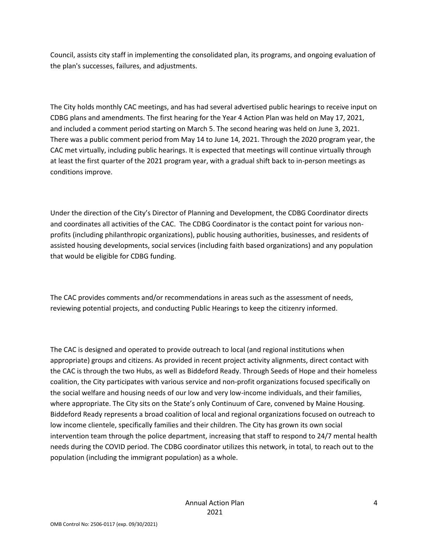Council, assists city staff in implementing the consolidated plan, its programs, and ongoing evaluation of the plan's successes, failures, and adjustments.

The City holds monthly CAC meetings, and has had several advertised public hearings to receive input on CDBG plans and amendments. The first hearing for the Year 4 Action Plan was held on May 17, 2021, and included a comment period starting on March 5. The second hearing was held on June 3, 2021. There was a public comment period from May 14 to June 14, 2021. Through the 2020 program year, the CAC met virtually, including public hearings. It is expected that meetings will continue virtually through at least the first quarter of the 2021 program year, with a gradual shift back to in-person meetings as conditions improve.

Under the direction of the City's Director of Planning and Development, the CDBG Coordinator directs and coordinates all activities of the CAC. The CDBG Coordinator is the contact point for various nonprofits (including philanthropic organizations), public housing authorities, businesses, and residents of assisted housing developments, social services (including faith based organizations) and any population that would be eligible for CDBG funding.

The CAC provides comments and/or recommendations in areas such as the assessment of needs, reviewing potential projects, and conducting Public Hearings to keep the citizenry informed.

The CAC is designed and operated to provide outreach to local (and regional institutions when appropriate) groups and citizens. As provided in recent project activity alignments, direct contact with the CAC is through the two Hubs, as well as Biddeford Ready. Through Seeds of Hope and their homeless coalition, the City participates with various service and non-profit organizations focused specifically on the social welfare and housing needs of our low and very low-income individuals, and their families, where appropriate. The City sits on the State's only Continuum of Care, convened by Maine Housing. Biddeford Ready represents a broad coalition of local and regional organizations focused on outreach to low income clientele, specifically families and their children. The City has grown its own social intervention team through the police department, increasing that staff to respond to 24/7 mental health needs during the COVID period. The CDBG coordinator utilizes this network, in total, to reach out to the population (including the immigrant population) as a whole.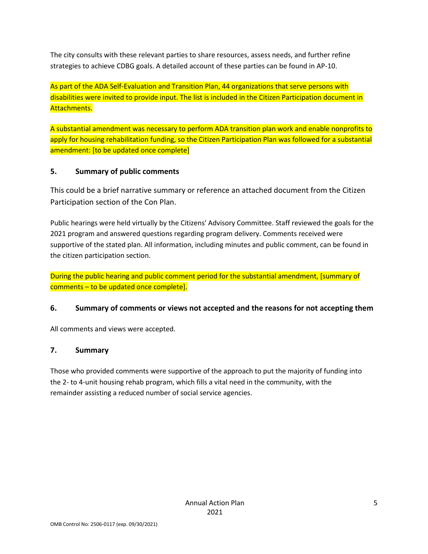The city consults with these relevant parties to share resources, assess needs, and further refine strategies to achieve CDBG goals. A detailed account of these parties can be found in AP-10.

As part of the ADA Self-Evaluation and Transition Plan, 44 organizations that serve persons with disabilities were invited to provide input. The list is included in the Citizen Participation document in Attachments.

A substantial amendment was necessary to perform ADA transition plan work and enable nonprofits to apply for housing rehabilitation funding, so the Citizen Participation Plan was followed for a substantial amendment: [to be updated once complete]

### **5. Summary of public comments**

This could be a brief narrative summary or reference an attached document from the Citizen Participation section of the Con Plan.

Public hearings were held virtually by the Citizens' Advisory Committee. Staff reviewed the goals for the 2021 program and answered questions regarding program delivery. Comments received were supportive of the stated plan. All information, including minutes and public comment, can be found in the citizen participation section.

During the public hearing and public comment period for the substantial amendment, [summary of comments – to be updated once complete].

### **6. Summary of comments or views not accepted and the reasons for not accepting them**

All comments and views were accepted.

#### **7. Summary**

Those who provided comments were supportive of the approach to put the majority of funding into the 2- to 4-unit housing rehab program, which fills a vital need in the community, with the remainder assisting a reduced number of social service agencies.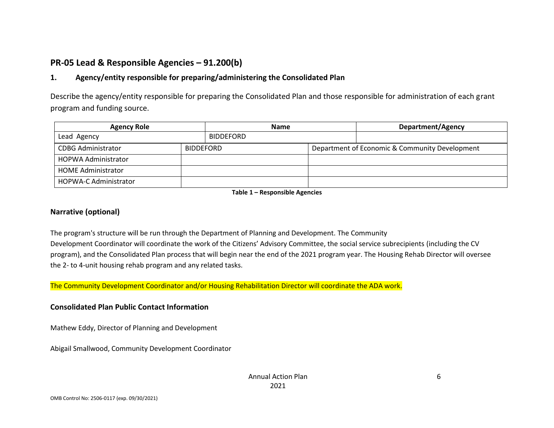## **PR-05 Lead & Responsible Agencies – 91.200(b)**

### **1. Agency/entity responsible for preparing/administering the Consolidated Plan**

Describe the agency/entity responsible for preparing the Consolidated Plan and those responsible for administration of each grant program and funding source.

| <b>Agency Role</b>                            |  | <b>Name</b>      |  | Department/Agency                              |  |
|-----------------------------------------------|--|------------------|--|------------------------------------------------|--|
| Lead Agency                                   |  | <b>BIDDEFORD</b> |  |                                                |  |
| <b>CDBG Administrator</b><br><b>BIDDEFORD</b> |  |                  |  | Department of Economic & Community Development |  |
| <b>HOPWA Administrator</b>                    |  |                  |  |                                                |  |
| <b>HOME Administrator</b>                     |  |                  |  |                                                |  |
| <b>HOPWA-C Administrator</b>                  |  |                  |  |                                                |  |

**Table 1 – Responsible Agencies**

#### **Narrative (optional)**

The program's structure will be run through the Department of Planning and Development. The Community Development Coordinator will coordinate the work of the Citizens' Advisory Committee, the social service subrecipients (including the CV program), and the Consolidated Plan process that will begin near the end of the 2021 program year. The Housing Rehab Director will oversee the 2- to 4-unit housing rehab program and any related tasks.

The Community Development Coordinator and/or Housing Rehabilitation Director will coordinate the ADA work.

#### **Consolidated Plan Public Contact Information**

Mathew Eddy, Director of Planning and Development

Abigail Smallwood, Community Development Coordinator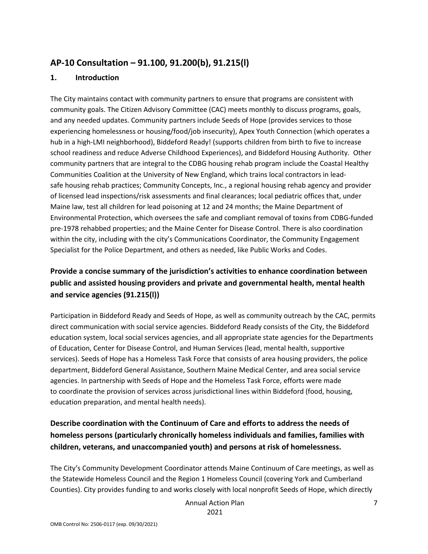### **AP-10 Consultation – 91.100, 91.200(b), 91.215(l)**

#### **1. Introduction**

The City maintains contact with community partners to ensure that programs are consistent with community goals. The Citizen Advisory Committee (CAC) meets monthly to discuss programs, goals, and any needed updates. Community partners include Seeds of Hope (provides services to those experiencing homelessness or housing/food/job insecurity), Apex Youth Connection (which operates a hub in a high-LMI neighborhood), Biddeford Ready! (supports children from birth to five to increase school readiness and reduce Adverse Childhood Experiences), and Biddeford Housing Authority. Other community partners that are integral to the CDBG housing rehab program include the Coastal Healthy Communities Coalition at the University of New England, which trains local contractors in leadsafe housing rehab practices; Community Concepts, Inc., a regional housing rehab agency and provider of licensed lead inspections/risk assessments and final clearances; local pediatric offices that, under Maine law, test all children for lead poisoning at 12 and 24 months; the Maine Department of Environmental Protection, which oversees the safe and compliant removal of toxins from CDBG-funded pre-1978 rehabbed properties; and the Maine Center for Disease Control. There is also coordination within the city, including with the city's Communications Coordinator, the Community Engagement Specialist for the Police Department, and others as needed, like Public Works and Codes.

## **Provide a concise summary of the jurisdiction's activities to enhance coordination between public and assisted housing providers and private and governmental health, mental health and service agencies (91.215(l))**

Participation in Biddeford Ready and Seeds of Hope, as well as community outreach by the CAC, permits direct communication with social service agencies. Biddeford Ready consists of the City, the Biddeford education system, local social services agencies, and all appropriate state agencies for the Departments of Education, Center for Disease Control, and Human Services (lead, mental health, supportive services). Seeds of Hope has a Homeless Task Force that consists of area housing providers, the police department, Biddeford General Assistance, Southern Maine Medical Center, and area social service agencies. In partnership with Seeds of Hope and the Homeless Task Force, efforts were made to coordinate the provision of services across jurisdictional lines within Biddeford (food, housing, education preparation, and mental health needs).

## **Describe coordination with the Continuum of Care and efforts to address the needs of homeless persons (particularly chronically homeless individuals and families, families with children, veterans, and unaccompanied youth) and persons at risk of homelessness.**

The City's Community Development Coordinator attends Maine Continuum of Care meetings, as well as the Statewide Homeless Council and the Region 1 Homeless Council (covering York and Cumberland Counties). City provides funding to and works closely with local nonprofit Seeds of Hope, which directly

Annual Action Plan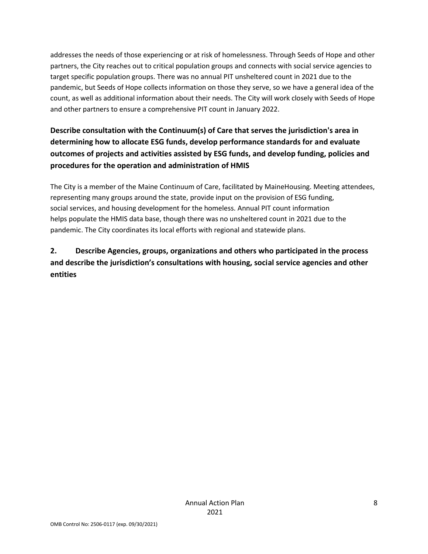addresses the needs of those experiencing or at risk of homelessness. Through Seeds of Hope and other partners, the City reaches out to critical population groups and connects with social service agencies to target specific population groups. There was no annual PIT unsheltered count in 2021 due to the pandemic, but Seeds of Hope collects information on those they serve, so we have a general idea of the count, as well as additional information about their needs. The City will work closely with Seeds of Hope and other partners to ensure a comprehensive PIT count in January 2022.

# **Describe consultation with the Continuum(s) of Care that serves the jurisdiction's area in determining how to allocate ESG funds, develop performance standards for and evaluate outcomes of projects and activities assisted by ESG funds, and develop funding, policies and procedures for the operation and administration of HMIS**

The City is a member of the Maine Continuum of Care, facilitated by MaineHousing. Meeting attendees, representing many groups around the state, provide input on the provision of ESG funding, social services, and housing development for the homeless. Annual PIT count information helps populate the HMIS data base, though there was no unsheltered count in 2021 due to the pandemic. The City coordinates its local efforts with regional and statewide plans.

## **2. Describe Agencies, groups, organizations and others who participated in the process and describe the jurisdiction's consultations with housing, social service agencies and other entities**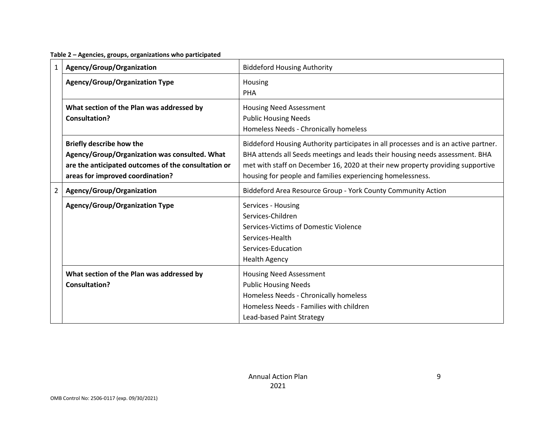**Table 2 – Agencies, groups, organizations who participated**

| $\mathbf{1}$   | Agency/Group/Organization                                                                                                                                                   | <b>Biddeford Housing Authority</b>                                                                                                                                                                                                                                                                                  |
|----------------|-----------------------------------------------------------------------------------------------------------------------------------------------------------------------------|---------------------------------------------------------------------------------------------------------------------------------------------------------------------------------------------------------------------------------------------------------------------------------------------------------------------|
|                | <b>Agency/Group/Organization Type</b>                                                                                                                                       | Housing<br>PHA                                                                                                                                                                                                                                                                                                      |
|                | What section of the Plan was addressed by<br>Consultation?                                                                                                                  | <b>Housing Need Assessment</b><br><b>Public Housing Needs</b><br>Homeless Needs - Chronically homeless                                                                                                                                                                                                              |
|                | <b>Briefly describe how the</b><br>Agency/Group/Organization was consulted. What<br>are the anticipated outcomes of the consultation or<br>areas for improved coordination? | Biddeford Housing Authority participates in all processes and is an active partner.<br>BHA attends all Seeds meetings and leads their housing needs assessment. BHA<br>met with staff on December 16, 2020 at their new property providing supportive<br>housing for people and families experiencing homelessness. |
| $\overline{2}$ | Agency/Group/Organization                                                                                                                                                   | Biddeford Area Resource Group - York County Community Action                                                                                                                                                                                                                                                        |
|                | <b>Agency/Group/Organization Type</b>                                                                                                                                       | Services - Housing<br>Services-Children<br>Services-Victims of Domestic Violence<br>Services-Health<br>Services-Education<br><b>Health Agency</b>                                                                                                                                                                   |
|                | What section of the Plan was addressed by<br>Consultation?                                                                                                                  | <b>Housing Need Assessment</b><br><b>Public Housing Needs</b><br>Homeless Needs - Chronically homeless<br>Homeless Needs - Families with children<br>Lead-based Paint Strategy                                                                                                                                      |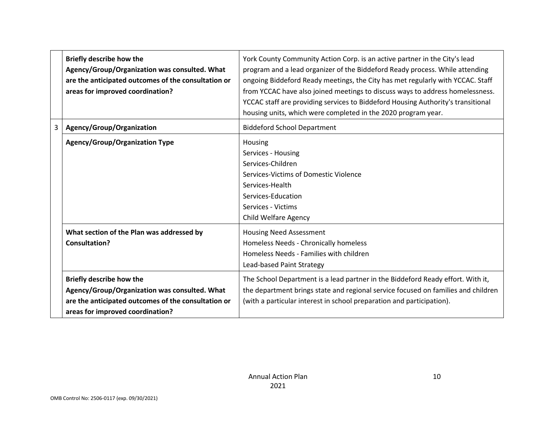|   | <b>Briefly describe how the</b><br>Agency/Group/Organization was consulted. What<br>are the anticipated outcomes of the consultation or<br>areas for improved coordination? | York County Community Action Corp. is an active partner in the City's lead<br>program and a lead organizer of the Biddeford Ready process. While attending<br>ongoing Biddeford Ready meetings, the City has met regularly with YCCAC. Staff<br>from YCCAC have also joined meetings to discuss ways to address homelessness.<br>YCCAC staff are providing services to Biddeford Housing Authority's transitional<br>housing units, which were completed in the 2020 program year. |
|---|-----------------------------------------------------------------------------------------------------------------------------------------------------------------------------|------------------------------------------------------------------------------------------------------------------------------------------------------------------------------------------------------------------------------------------------------------------------------------------------------------------------------------------------------------------------------------------------------------------------------------------------------------------------------------|
| 3 | Agency/Group/Organization                                                                                                                                                   | <b>Biddeford School Department</b>                                                                                                                                                                                                                                                                                                                                                                                                                                                 |
|   | Agency/Group/Organization Type                                                                                                                                              | Housing<br>Services - Housing<br>Services-Children<br>Services-Victims of Domestic Violence<br>Services-Health<br>Services-Education<br>Services - Victims<br><b>Child Welfare Agency</b>                                                                                                                                                                                                                                                                                          |
|   | What section of the Plan was addressed by<br><b>Consultation?</b>                                                                                                           | <b>Housing Need Assessment</b><br>Homeless Needs - Chronically homeless<br>Homeless Needs - Families with children<br>Lead-based Paint Strategy                                                                                                                                                                                                                                                                                                                                    |
|   | <b>Briefly describe how the</b><br>Agency/Group/Organization was consulted. What<br>are the anticipated outcomes of the consultation or<br>areas for improved coordination? | The School Department is a lead partner in the Biddeford Ready effort. With it,<br>the department brings state and regional service focused on families and children<br>(with a particular interest in school preparation and participation).                                                                                                                                                                                                                                      |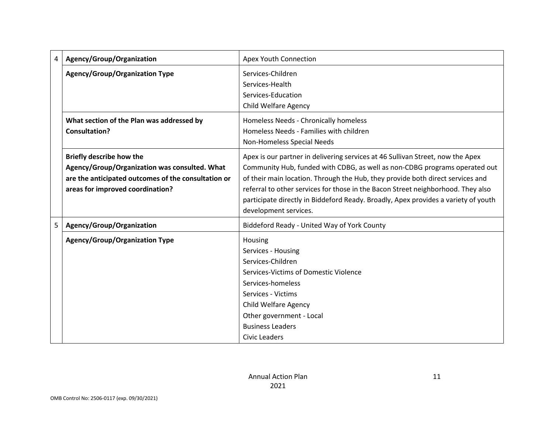| 4 | Agency/Group/Organization                                                                                                                                                   | <b>Apex Youth Connection</b>                                                                                                                                                                                                                                                                                                                                                                                                                      |
|---|-----------------------------------------------------------------------------------------------------------------------------------------------------------------------------|---------------------------------------------------------------------------------------------------------------------------------------------------------------------------------------------------------------------------------------------------------------------------------------------------------------------------------------------------------------------------------------------------------------------------------------------------|
|   | <b>Agency/Group/Organization Type</b>                                                                                                                                       | Services-Children<br>Services-Health<br>Services-Education<br>Child Welfare Agency                                                                                                                                                                                                                                                                                                                                                                |
|   | What section of the Plan was addressed by<br><b>Consultation?</b>                                                                                                           | Homeless Needs - Chronically homeless<br>Homeless Needs - Families with children<br>Non-Homeless Special Needs                                                                                                                                                                                                                                                                                                                                    |
|   | <b>Briefly describe how the</b><br>Agency/Group/Organization was consulted. What<br>are the anticipated outcomes of the consultation or<br>areas for improved coordination? | Apex is our partner in delivering services at 46 Sullivan Street, now the Apex<br>Community Hub, funded with CDBG, as well as non-CDBG programs operated out<br>of their main location. Through the Hub, they provide both direct services and<br>referral to other services for those in the Bacon Street neighborhood. They also<br>participate directly in Biddeford Ready. Broadly, Apex provides a variety of youth<br>development services. |
| 5 | Agency/Group/Organization                                                                                                                                                   | Biddeford Ready - United Way of York County                                                                                                                                                                                                                                                                                                                                                                                                       |
|   | <b>Agency/Group/Organization Type</b>                                                                                                                                       | Housing<br>Services - Housing<br>Services-Children<br>Services-Victims of Domestic Violence<br>Services-homeless<br>Services - Victims<br><b>Child Welfare Agency</b><br>Other government - Local<br><b>Business Leaders</b><br><b>Civic Leaders</b>                                                                                                                                                                                              |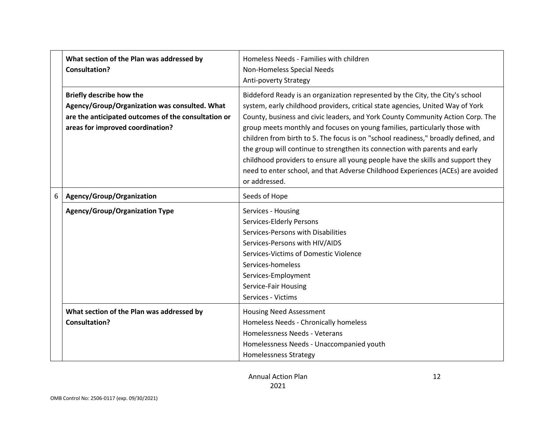|   | What section of the Plan was addressed by<br>Consultation?                                                                                                                  | Homeless Needs - Families with children<br>Non-Homeless Special Needs<br>Anti-poverty Strategy                                                                                                                                                                                                                                                                                                                                                                                                                                                                                                                                                                                              |
|---|-----------------------------------------------------------------------------------------------------------------------------------------------------------------------------|---------------------------------------------------------------------------------------------------------------------------------------------------------------------------------------------------------------------------------------------------------------------------------------------------------------------------------------------------------------------------------------------------------------------------------------------------------------------------------------------------------------------------------------------------------------------------------------------------------------------------------------------------------------------------------------------|
|   | <b>Briefly describe how the</b><br>Agency/Group/Organization was consulted. What<br>are the anticipated outcomes of the consultation or<br>areas for improved coordination? | Biddeford Ready is an organization represented by the City, the City's school<br>system, early childhood providers, critical state agencies, United Way of York<br>County, business and civic leaders, and York County Community Action Corp. The<br>group meets monthly and focuses on young families, particularly those with<br>children from birth to 5. The focus is on "school readiness," broadly defined, and<br>the group will continue to strengthen its connection with parents and early<br>childhood providers to ensure all young people have the skills and support they<br>need to enter school, and that Adverse Childhood Experiences (ACEs) are avoided<br>or addressed. |
| 6 | Agency/Group/Organization                                                                                                                                                   | Seeds of Hope                                                                                                                                                                                                                                                                                                                                                                                                                                                                                                                                                                                                                                                                               |
|   | <b>Agency/Group/Organization Type</b>                                                                                                                                       | Services - Housing<br>Services-Elderly Persons<br>Services-Persons with Disabilities<br>Services-Persons with HIV/AIDS<br>Services-Victims of Domestic Violence<br>Services-homeless<br>Services-Employment<br>Service-Fair Housing<br>Services - Victims                                                                                                                                                                                                                                                                                                                                                                                                                                   |
|   | What section of the Plan was addressed by<br><b>Consultation?</b>                                                                                                           | <b>Housing Need Assessment</b><br>Homeless Needs - Chronically homeless<br>Homelessness Needs - Veterans<br>Homelessness Needs - Unaccompanied youth<br><b>Homelessness Strategy</b>                                                                                                                                                                                                                                                                                                                                                                                                                                                                                                        |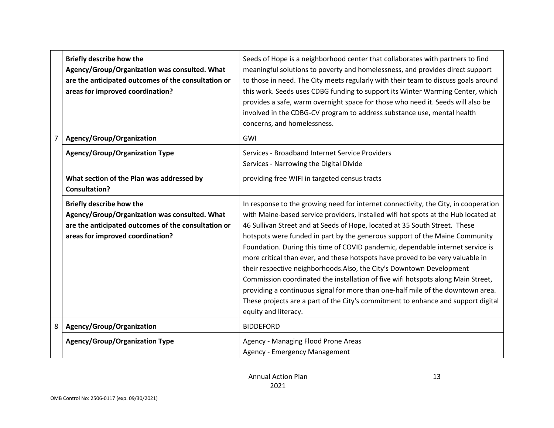|   | Briefly describe how the<br>Agency/Group/Organization was consulted. What<br>are the anticipated outcomes of the consultation or<br>areas for improved coordination? | Seeds of Hope is a neighborhood center that collaborates with partners to find<br>meaningful solutions to poverty and homelessness, and provides direct support<br>to those in need. The City meets regularly with their team to discuss goals around<br>this work. Seeds uses CDBG funding to support its Winter Warming Center, which<br>provides a safe, warm overnight space for those who need it. Seeds will also be<br>involved in the CDBG-CV program to address substance use, mental health<br>concerns, and homelessness.                                                                                                                                                                                                                                                                                                                                    |
|---|----------------------------------------------------------------------------------------------------------------------------------------------------------------------|-------------------------------------------------------------------------------------------------------------------------------------------------------------------------------------------------------------------------------------------------------------------------------------------------------------------------------------------------------------------------------------------------------------------------------------------------------------------------------------------------------------------------------------------------------------------------------------------------------------------------------------------------------------------------------------------------------------------------------------------------------------------------------------------------------------------------------------------------------------------------|
| 7 | Agency/Group/Organization                                                                                                                                            | GWI                                                                                                                                                                                                                                                                                                                                                                                                                                                                                                                                                                                                                                                                                                                                                                                                                                                                     |
|   | <b>Agency/Group/Organization Type</b>                                                                                                                                | Services - Broadband Internet Service Providers<br>Services - Narrowing the Digital Divide                                                                                                                                                                                                                                                                                                                                                                                                                                                                                                                                                                                                                                                                                                                                                                              |
|   | What section of the Plan was addressed by<br><b>Consultation?</b>                                                                                                    | providing free WIFI in targeted census tracts                                                                                                                                                                                                                                                                                                                                                                                                                                                                                                                                                                                                                                                                                                                                                                                                                           |
|   | Briefly describe how the<br>Agency/Group/Organization was consulted. What<br>are the anticipated outcomes of the consultation or<br>areas for improved coordination? | In response to the growing need for internet connectivity, the City, in cooperation<br>with Maine-based service providers, installed wifi hot spots at the Hub located at<br>46 Sullivan Street and at Seeds of Hope, located at 35 South Street. These<br>hotspots were funded in part by the generous support of the Maine Community<br>Foundation. During this time of COVID pandemic, dependable internet service is<br>more critical than ever, and these hotspots have proved to be very valuable in<br>their respective neighborhoods. Also, the City's Downtown Development<br>Commission coordinated the installation of five wifi hotspots along Main Street,<br>providing a continuous signal for more than one-half mile of the downtown area.<br>These projects are a part of the City's commitment to enhance and support digital<br>equity and literacy. |
| 8 | Agency/Group/Organization                                                                                                                                            | <b>BIDDEFORD</b>                                                                                                                                                                                                                                                                                                                                                                                                                                                                                                                                                                                                                                                                                                                                                                                                                                                        |
|   | <b>Agency/Group/Organization Type</b>                                                                                                                                | Agency - Managing Flood Prone Areas<br>Agency - Emergency Management                                                                                                                                                                                                                                                                                                                                                                                                                                                                                                                                                                                                                                                                                                                                                                                                    |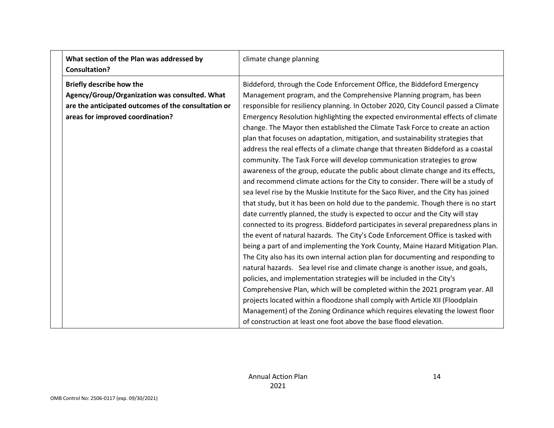| What section of the Plan was addressed by<br><b>Consultation?</b> | climate change planning                                                             |
|-------------------------------------------------------------------|-------------------------------------------------------------------------------------|
| <b>Briefly describe how the</b>                                   | Biddeford, through the Code Enforcement Office, the Biddeford Emergency             |
| Agency/Group/Organization was consulted. What                     | Management program, and the Comprehensive Planning program, has been                |
| are the anticipated outcomes of the consultation or               | responsible for resiliency planning. In October 2020, City Council passed a Climate |
| areas for improved coordination?                                  | Emergency Resolution highlighting the expected environmental effects of climate     |
|                                                                   | change. The Mayor then established the Climate Task Force to create an action       |
|                                                                   | plan that focuses on adaptation, mitigation, and sustainability strategies that     |
|                                                                   | address the real effects of a climate change that threaten Biddeford as a coastal   |
|                                                                   | community. The Task Force will develop communication strategies to grow             |
|                                                                   | awareness of the group, educate the public about climate change and its effects,    |
|                                                                   | and recommend climate actions for the City to consider. There will be a study of    |
|                                                                   | sea level rise by the Muskie Institute for the Saco River, and the City has joined  |
|                                                                   | that study, but it has been on hold due to the pandemic. Though there is no start   |
|                                                                   | date currently planned, the study is expected to occur and the City will stay       |
|                                                                   |                                                                                     |
|                                                                   | connected to its progress. Biddeford participates in several preparedness plans in  |
|                                                                   | the event of natural hazards. The City's Code Enforcement Office is tasked with     |
|                                                                   | being a part of and implementing the York County, Maine Hazard Mitigation Plan.     |
|                                                                   | The City also has its own internal action plan for documenting and responding to    |
|                                                                   | natural hazards. Sea level rise and climate change is another issue, and goals,     |
|                                                                   | policies, and implementation strategies will be included in the City's              |
|                                                                   | Comprehensive Plan, which will be completed within the 2021 program year. All       |
|                                                                   | projects located within a floodzone shall comply with Article XII (Floodplain       |
|                                                                   | Management) of the Zoning Ordinance which requires elevating the lowest floor       |
|                                                                   | of construction at least one foot above the base flood elevation.                   |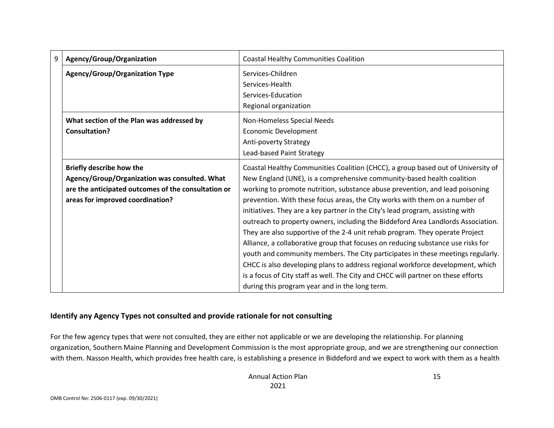| 9 | Agency/Group/Organization                                                                                                                                                   | <b>Coastal Healthy Communities Coalition</b>                                                                                                                                                                                                                                                                                                                                                                                                                                                                                                                                                                                                                                                                                                                                                                                                                                                                                                                                    |
|---|-----------------------------------------------------------------------------------------------------------------------------------------------------------------------------|---------------------------------------------------------------------------------------------------------------------------------------------------------------------------------------------------------------------------------------------------------------------------------------------------------------------------------------------------------------------------------------------------------------------------------------------------------------------------------------------------------------------------------------------------------------------------------------------------------------------------------------------------------------------------------------------------------------------------------------------------------------------------------------------------------------------------------------------------------------------------------------------------------------------------------------------------------------------------------|
|   | <b>Agency/Group/Organization Type</b>                                                                                                                                       | Services-Children<br>Services-Health<br>Services-Education<br>Regional organization                                                                                                                                                                                                                                                                                                                                                                                                                                                                                                                                                                                                                                                                                                                                                                                                                                                                                             |
|   | What section of the Plan was addressed by<br>Consultation?                                                                                                                  | Non-Homeless Special Needs<br>Economic Development<br>Anti-poverty Strategy<br>Lead-based Paint Strategy                                                                                                                                                                                                                                                                                                                                                                                                                                                                                                                                                                                                                                                                                                                                                                                                                                                                        |
|   | <b>Briefly describe how the</b><br>Agency/Group/Organization was consulted. What<br>are the anticipated outcomes of the consultation or<br>areas for improved coordination? | Coastal Healthy Communities Coalition (CHCC), a group based out of University of<br>New England (UNE), is a comprehensive community-based health coalition<br>working to promote nutrition, substance abuse prevention, and lead poisoning<br>prevention. With these focus areas, the City works with them on a number of<br>initiatives. They are a key partner in the City's lead program, assisting with<br>outreach to property owners, including the Biddeford Area Landlords Association.<br>They are also supportive of the 2-4 unit rehab program. They operate Project<br>Alliance, a collaborative group that focuses on reducing substance use risks for<br>youth and community members. The City participates in these meetings regularly.<br>CHCC is also developing plans to address regional workforce development, which<br>is a focus of City staff as well. The City and CHCC will partner on these efforts<br>during this program year and in the long term. |

#### **Identify any Agency Types not consulted and provide rationale for not consulting**

For the few agency types that were not consulted, they are either not applicable or we are developing the relationship. For planning organization, Southern Maine Planning and Development Commission is the most appropriate group, and we are strengthening our connection with them. Nasson Health, which provides free health care, is establishing a presence in Biddeford and we expect to work with them as a health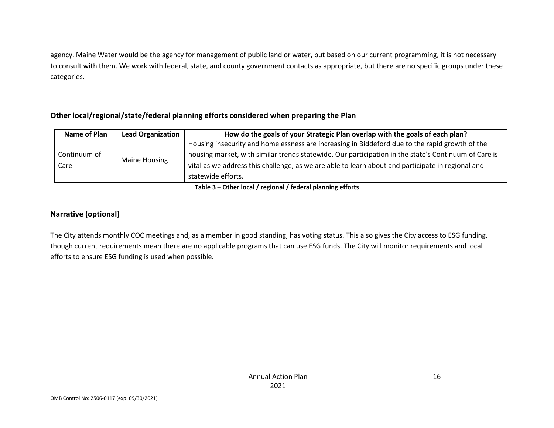agency. Maine Water would be the agency for management of public land or water, but based on our current programming, it is not necessary to consult with them. We work with federal, state, and county government contacts as appropriate, but there are no specific groups under these categories.

#### **Other local/regional/state/federal planning efforts considered when preparing the Plan**

| Name of Plan         | <b>Lead Organization</b> | How do the goals of your Strategic Plan overlap with the goals of each plan?                         |  |
|----------------------|--------------------------|------------------------------------------------------------------------------------------------------|--|
| Continuum of<br>Care |                          | Housing insecurity and homelessness are increasing in Biddeford due to the rapid growth of the       |  |
|                      |                          | housing market, with similar trends statewide. Our participation in the state's Continuum of Care is |  |
|                      | Maine Housing            | vital as we address this challenge, as we are able to learn about and participate in regional and    |  |
|                      |                          | statewide efforts.                                                                                   |  |

**Table 3 – Other local / regional / federal planning efforts**

#### **Narrative (optional)**

The City attends monthly COC meetings and, as a member in good standing, has voting status. This also gives the City access to ESG funding, though current requirements mean there are no applicable programs that can use ESG funds. The City will monitor requirements and local efforts to ensure ESG funding is used when possible.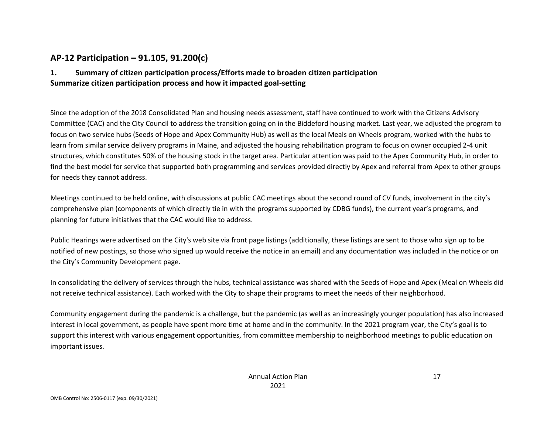### **AP-12 Participation – 91.105, 91.200(c)**

### **1. Summary of citizen participation process/Efforts made to broaden citizen participation Summarize citizen participation process and how it impacted goal-setting**

Since the adoption of the 2018 Consolidated Plan and housing needs assessment, staff have continued to work with the Citizens Advisory Committee (CAC) and the City Council to address the transition going on in the Biddeford housing market. Last year, we adjusted the program to focus on two service hubs (Seeds of Hope and Apex Community Hub) as well as the local Meals on Wheels program, worked with the hubs to learn from similar service delivery programs in Maine, and adjusted the housing rehabilitation program to focus on owner occupied 2-4 unit structures, which constitutes 50% of the housing stock in the target area. Particular attention was paid to the Apex Community Hub, in order to find the best model for service that supported both programming and services provided directly by Apex and referral from Apex to other groups for needs they cannot address.

Meetings continued to be held online, with discussions at public CAC meetings about the second round of CV funds, involvement in the city's comprehensive plan (components of which directly tie in with the programs supported by CDBG funds), the current year's programs, and planning for future initiatives that the CAC would like to address.

Public Hearings were advertised on the City's web site via front page listings (additionally, these listings are sent to those who sign up to be notified of new postings, so those who signed up would receive the notice in an email) and any documentation was included in the notice or on the City's Community Development page.

In consolidating the delivery of services through the hubs, technical assistance was shared with the Seeds of Hope and Apex (Meal on Wheels did not receive technical assistance). Each worked with the City to shape their programs to meet the needs of their neighborhood.

Community engagement during the pandemic is a challenge, but the pandemic (as well as an increasingly younger population) has also increased interest in local government, as people have spent more time at home and in the community. In the 2021 program year, the City's goal is to support this interest with various engagement opportunities, from committee membership to neighborhood meetings to public education on important issues.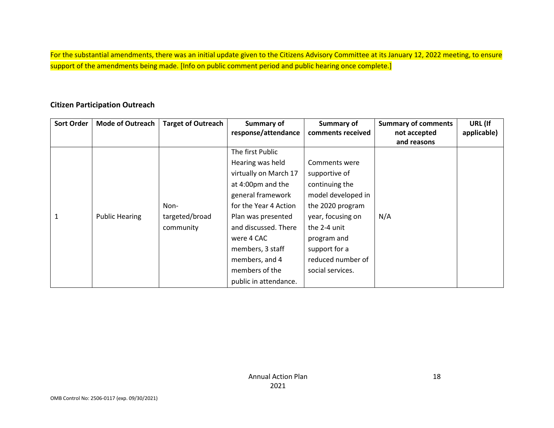For the substantial amendments, there was an initial update given to the Citizens Advisory Committee at its January 12, 2022 meeting, to ensure support of the amendments being made. [Info on public comment period and public hearing once complete.]

#### **Citizen Participation Outreach**

| <b>Sort Order</b> | <b>Mode of Outreach</b> | <b>Target of Outreach</b> | Summary of            | Summary of         | <b>Summary of comments</b> | URL (If     |
|-------------------|-------------------------|---------------------------|-----------------------|--------------------|----------------------------|-------------|
|                   |                         |                           | response/attendance   | comments received  | not accepted               | applicable) |
|                   |                         |                           |                       |                    | and reasons                |             |
|                   |                         |                           | The first Public      |                    |                            |             |
|                   |                         |                           | Hearing was held      | Comments were      |                            |             |
|                   |                         |                           | virtually on March 17 | supportive of      |                            |             |
|                   |                         |                           | at 4:00pm and the     | continuing the     |                            |             |
|                   |                         |                           | general framework     | model developed in |                            |             |
|                   |                         | Non-                      | for the Year 4 Action | the 2020 program   |                            |             |
|                   | <b>Public Hearing</b>   | targeted/broad            | Plan was presented    | year, focusing on  | N/A                        |             |
|                   |                         | community                 | and discussed. There  | the 2-4 unit       |                            |             |
|                   |                         |                           | were 4 CAC            | program and        |                            |             |
|                   |                         |                           | members, 3 staff      | support for a      |                            |             |
|                   |                         |                           | members, and 4        | reduced number of  |                            |             |
|                   |                         |                           | members of the        | social services.   |                            |             |
|                   |                         |                           | public in attendance. |                    |                            |             |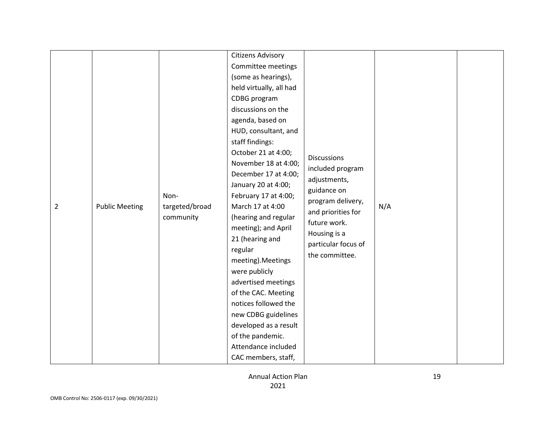| $\overline{2}$ | <b>Public Meeting</b> | Non-<br>targeted/broad<br>community | <b>Citizens Advisory</b><br>Committee meetings<br>(some as hearings),<br>held virtually, all had<br>CDBG program<br>discussions on the<br>agenda, based on<br>HUD, consultant, and<br>staff findings:<br>October 21 at 4:00;<br>November 18 at 4:00;<br>December 17 at 4:00;<br>January 20 at 4:00;<br>February 17 at 4:00;<br>March 17 at 4:00<br>(hearing and regular<br>meeting); and April<br>21 (hearing and<br>regular<br>meeting). Meetings<br>were publicly<br>advertised meetings<br>of the CAC. Meeting<br>notices followed the<br>new CDBG guidelines | <b>Discussions</b><br>included program<br>adjustments,<br>guidance on<br>program delivery,<br>and priorities for<br>future work.<br>Housing is a<br>particular focus of<br>the committee. | N/A |  |
|----------------|-----------------------|-------------------------------------|------------------------------------------------------------------------------------------------------------------------------------------------------------------------------------------------------------------------------------------------------------------------------------------------------------------------------------------------------------------------------------------------------------------------------------------------------------------------------------------------------------------------------------------------------------------|-------------------------------------------------------------------------------------------------------------------------------------------------------------------------------------------|-----|--|
|                |                       |                                     |                                                                                                                                                                                                                                                                                                                                                                                                                                                                                                                                                                  |                                                                                                                                                                                           |     |  |
|                |                       |                                     |                                                                                                                                                                                                                                                                                                                                                                                                                                                                                                                                                                  |                                                                                                                                                                                           |     |  |
|                |                       |                                     |                                                                                                                                                                                                                                                                                                                                                                                                                                                                                                                                                                  |                                                                                                                                                                                           |     |  |
|                |                       |                                     | developed as a result                                                                                                                                                                                                                                                                                                                                                                                                                                                                                                                                            |                                                                                                                                                                                           |     |  |
|                |                       |                                     | of the pandemic.                                                                                                                                                                                                                                                                                                                                                                                                                                                                                                                                                 |                                                                                                                                                                                           |     |  |
|                |                       |                                     |                                                                                                                                                                                                                                                                                                                                                                                                                                                                                                                                                                  |                                                                                                                                                                                           |     |  |
|                |                       |                                     | Attendance included                                                                                                                                                                                                                                                                                                                                                                                                                                                                                                                                              |                                                                                                                                                                                           |     |  |
|                |                       |                                     | CAC members, staff,                                                                                                                                                                                                                                                                                                                                                                                                                                                                                                                                              |                                                                                                                                                                                           |     |  |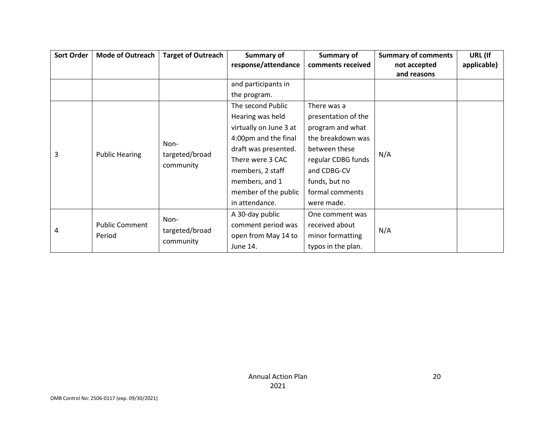| Sort Order | <b>Mode of Outreach</b> | <b>Target of Outreach</b>           | Summary of             | Summary of          | <b>Summary of comments</b> | URL (If     |
|------------|-------------------------|-------------------------------------|------------------------|---------------------|----------------------------|-------------|
|            |                         |                                     | response/attendance    | comments received   | not accepted               | applicable) |
|            |                         |                                     |                        |                     | and reasons                |             |
|            |                         |                                     | and participants in    |                     |                            |             |
|            |                         |                                     | the program.           |                     |                            |             |
|            |                         |                                     | The second Public      | There was a         |                            |             |
|            |                         |                                     | Hearing was held       | presentation of the |                            |             |
|            | <b>Public Hearing</b>   | Non-<br>targeted/broad<br>community | virtually on June 3 at | program and what    |                            |             |
|            |                         |                                     | 4:00pm and the final   | the breakdown was   | N/A                        |             |
| 3          |                         |                                     | draft was presented.   | between these       |                            |             |
|            |                         |                                     | There were 3 CAC       | regular CDBG funds  |                            |             |
|            |                         |                                     | members, 2 staff       | and CDBG-CV         |                            |             |
|            |                         |                                     | members, and 1         | funds, but no       |                            |             |
|            |                         |                                     | member of the public   | formal comments     |                            |             |
|            |                         |                                     | in attendance.         | were made.          |                            |             |
|            |                         | Non-                                | A 30-day public        | One comment was     |                            |             |
|            | <b>Public Comment</b>   |                                     | comment period was     | received about      |                            |             |
| 4          | Period                  | targeted/broad                      | open from May 14 to    | minor formatting    | N/A                        |             |
|            |                         | community                           | June 14.               | typos in the plan.  |                            |             |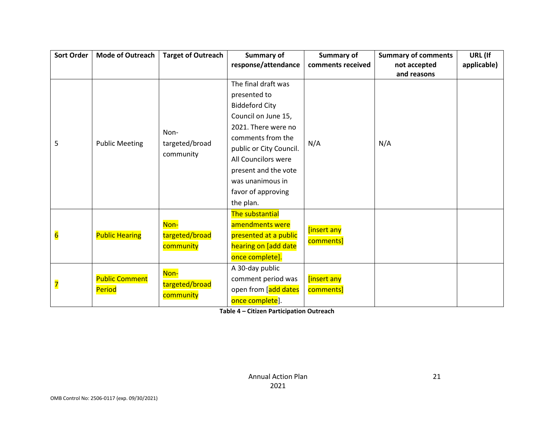| Sort Order              | <b>Mode of Outreach</b> | <b>Target of Outreach</b>   | Summary of              | <b>Summary of</b> | <b>Summary of comments</b> | URL (If     |
|-------------------------|-------------------------|-----------------------------|-------------------------|-------------------|----------------------------|-------------|
|                         |                         |                             | response/attendance     | comments received | not accepted               | applicable) |
|                         |                         |                             |                         |                   | and reasons                |             |
|                         |                         |                             | The final draft was     |                   |                            |             |
|                         |                         |                             | presented to            |                   |                            |             |
|                         |                         |                             | <b>Biddeford City</b>   |                   |                            |             |
|                         |                         |                             | Council on June 15,     |                   |                            |             |
|                         |                         | Non-                        | 2021. There were no     |                   |                            |             |
| 5                       | <b>Public Meeting</b>   |                             | comments from the       | N/A               | N/A                        |             |
|                         |                         | targeted/broad<br>community | public or City Council. |                   |                            |             |
|                         |                         |                             | All Councilors were     |                   |                            |             |
|                         |                         |                             | present and the vote    |                   |                            |             |
|                         |                         |                             | was unanimous in        |                   |                            |             |
|                         |                         |                             | favor of approving      |                   |                            |             |
|                         |                         |                             | the plan.               |                   |                            |             |
|                         |                         |                             | The substantial         |                   |                            |             |
|                         |                         | Non-                        | amendments were         | [insert any       |                            |             |
| $6\overline{6}$         | <b>Public Hearing</b>   | targeted/broad              | presented at a public   | comments]         |                            |             |
|                         |                         | community                   | hearing on [add date    |                   |                            |             |
|                         |                         |                             | once complete].         |                   |                            |             |
|                         |                         | Non-                        | A 30-day public         |                   |                            |             |
|                         | <b>Public Comment</b>   | targeted/broad              | comment period was      | [insert any       |                            |             |
| $\overline{\mathbf{7}}$ | Period                  | community                   | open from [add dates    | comments]         |                            |             |
|                         |                         |                             | once complete].         |                   |                            |             |

**Table 4 – Citizen Participation Outreach**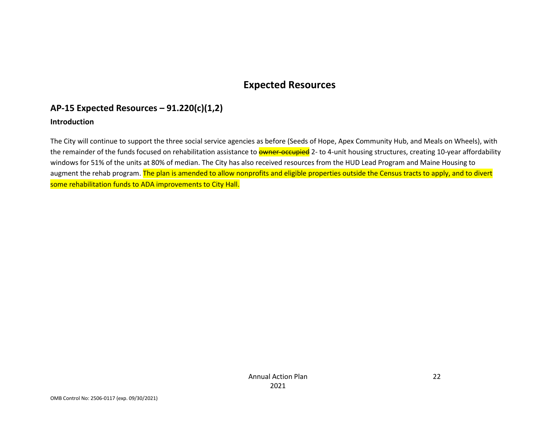# **Expected Resources**

## **AP-15 Expected Resources – 91.220(c)(1,2)**

#### **Introduction**

The City will continue to support the three social service agencies as before (Seeds of Hope, Apex Community Hub, and Meals on Wheels), with the remainder of the funds focused on rehabilitation assistance to **owner-occupied** 2- to 4-unit housing structures, creating 10-year affordability windows for 51% of the units at 80% of median. The City has also received resources from the HUD Lead Program and Maine Housing to augment the rehab program. The plan is amended to allow nonprofits and eligible properties outside the Census tracts to apply, and to divert some rehabilitation funds to ADA improvements to City Hall.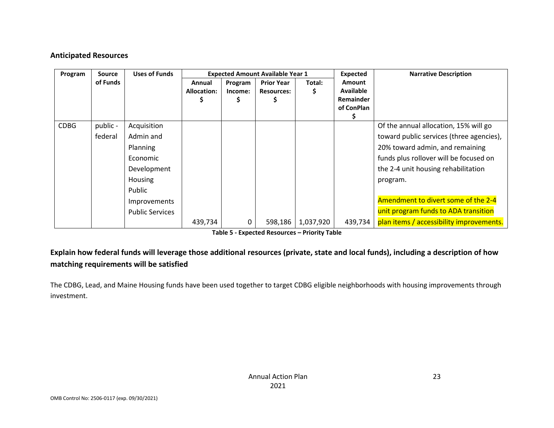#### **Anticipated Resources**

| Program     | <b>Source</b>       | <b>Uses of Funds</b>                                                                 |                              |                    | <b>Expected Amount Available Year 1</b> |           | <b>Expected</b>                                       | <b>Narrative Description</b>                                                                                                                                                                                      |
|-------------|---------------------|--------------------------------------------------------------------------------------|------------------------------|--------------------|-----------------------------------------|-----------|-------------------------------------------------------|-------------------------------------------------------------------------------------------------------------------------------------------------------------------------------------------------------------------|
|             | of Funds            |                                                                                      | Annual<br><b>Allocation:</b> | Program<br>Income: | <b>Prior Year</b><br><b>Resources:</b>  | Total:    | Amount<br><b>Available</b><br>Remainder<br>of ConPlan |                                                                                                                                                                                                                   |
| <b>CDBG</b> | public -<br>federal | Acquisition<br>Admin and<br>Planning<br>Economic<br>Development<br>Housing<br>Public |                              |                    |                                         |           |                                                       | Of the annual allocation, 15% will go<br>toward public services (three agencies),<br>20% toward admin, and remaining<br>funds plus rollover will be focused on<br>the 2-4 unit housing rehabilitation<br>program. |
|             |                     | Improvements<br><b>Public Services</b>                                               | 439,734                      | 0                  | 598,186                                 | 1,037,920 | 439,734                                               | Amendment to divert some of the 2-4<br>unit program funds to ADA transition<br>plan items / accessibility improvements.                                                                                           |

**Table 5 - Expected Resources – Priority Table**

### **Explain how federal funds will leverage those additional resources (private, state and local funds), including a description of how matching requirements will be satisfied**

The CDBG, Lead, and Maine Housing funds have been used together to target CDBG eligible neighborhoods with housing improvements through investment.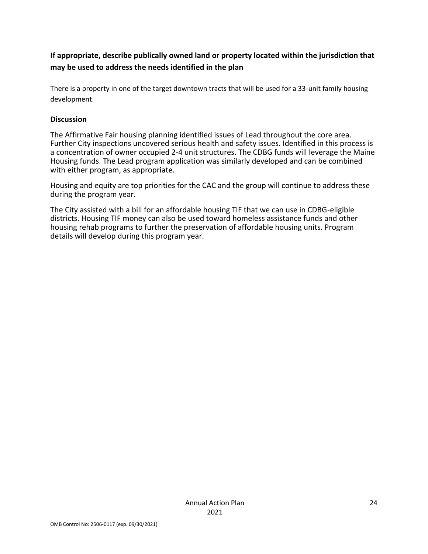### **If appropriate, describe publically owned land or property located within the jurisdiction that may be used to address the needs identified in the plan**

There is a property in one of the target downtown tracts that will be used for a 33-unit family housing development.

#### **Discussion**

The Affirmative Fair housing planning identified issues of Lead throughout the core area. Further City inspections uncovered serious health and safety issues. Identified in this process is a concentration of owner occupied 2-4 unit structures. The CDBG funds will leverage the Maine Housing funds. The Lead program application was similarly developed and can be combined with either program, as appropriate.

Housing and equity are top priorities for the CAC and the group will continue to address these during the program year.

The City assisted with a bill for an affordable housing TIF that we can use in CDBG-eligible districts. Housing TIF money can also be used toward homeless assistance funds and other housing rehab programs to further the preservation of affordable housing units. Program details will develop during this program year.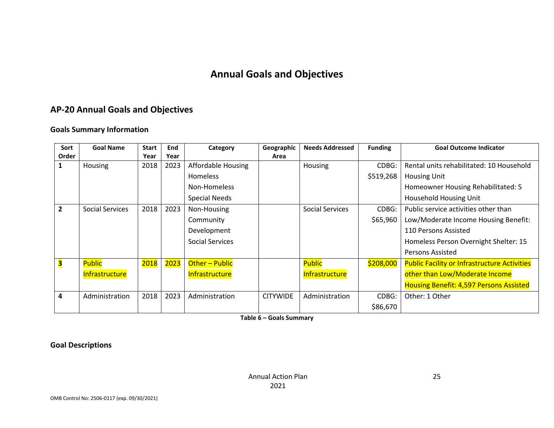# **Annual Goals and Objectives**

# **AP-20 Annual Goals and Objectives**

#### **Goals Summary Information**

| Sort           | <b>Goal Name</b>       | <b>Start</b> | End  | Category               | Geographic      | <b>Needs Addressed</b> | <b>Funding</b> | <b>Goal Outcome Indicator</b>                       |  |
|----------------|------------------------|--------------|------|------------------------|-----------------|------------------------|----------------|-----------------------------------------------------|--|
| Order          |                        | Year         | Year |                        | Area            |                        |                |                                                     |  |
|                | Housing                | 2018         | 2023 | Affordable Housing     |                 | Housing                | CDBG:          | Rental units rehabilitated: 10 Household            |  |
|                |                        |              |      | <b>Homeless</b>        |                 |                        | \$519,268      | <b>Housing Unit</b>                                 |  |
|                |                        |              |      | Non-Homeless           |                 |                        |                | Homeowner Housing Rehabilitated: 5                  |  |
|                |                        |              |      | <b>Special Needs</b>   |                 |                        |                | <b>Household Housing Unit</b>                       |  |
| $\overline{2}$ | <b>Social Services</b> | 2018         | 2023 | Non-Housing            |                 | <b>Social Services</b> | CDBG:          | Public service activities other than                |  |
|                |                        |              |      | Community              |                 |                        | \$65,960       | Low/Moderate Income Housing Benefit:                |  |
|                |                        |              |      | Development            |                 |                        |                | 110 Persons Assisted                                |  |
|                |                        |              |      | <b>Social Services</b> |                 |                        |                | Homeless Person Overnight Shelter: 15               |  |
|                |                        |              |      |                        |                 |                        |                | Persons Assisted                                    |  |
| З              | <b>Public</b>          | 2018         | 2023 | Other - Public         |                 | <b>Public</b>          | \$208,000      | <b>Public Facility or Infrastructure Activities</b> |  |
|                | Infrastructure         |              |      | Infrastructure         |                 | Infrastructure         |                | other than Low/Moderate Income                      |  |
|                |                        |              |      |                        |                 |                        |                | <b>Housing Benefit: 4,597 Persons Assisted</b>      |  |
| 4              | Administration         | 2018         | 2023 | Administration         | <b>CITYWIDE</b> | Administration         | CDBG:          | Other: 1 Other                                      |  |
|                |                        |              |      |                        |                 |                        | \$86,670       |                                                     |  |

**Table 6 – Goals Summary**

**Goal Descriptions**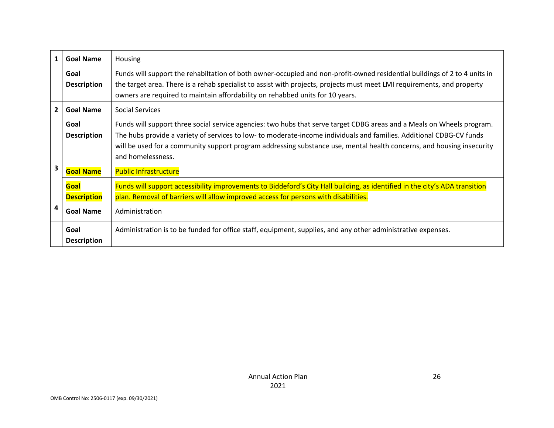| 1              | <b>Goal Name</b>           | Housing                                                                                                                                                                                                                                                                                                                                                                                      |
|----------------|----------------------------|----------------------------------------------------------------------------------------------------------------------------------------------------------------------------------------------------------------------------------------------------------------------------------------------------------------------------------------------------------------------------------------------|
|                | Goal<br><b>Description</b> | Funds will support the rehabiltation of both owner-occupied and non-profit-owned residential buildings of 2 to 4 units in<br>the target area. There is a rehab specialist to assist with projects, projects must meet LMI requirements, and property<br>owners are required to maintain affordability on rehabbed units for 10 years.                                                        |
| $\overline{2}$ | <b>Goal Name</b>           | <b>Social Services</b>                                                                                                                                                                                                                                                                                                                                                                       |
|                | Goal<br><b>Description</b> | Funds will support three social service agencies: two hubs that serve target CDBG areas and a Meals on Wheels program.<br>The hubs provide a variety of services to low- to moderate-income individuals and families. Additional CDBG-CV funds<br>will be used for a community support program addressing substance use, mental health concerns, and housing insecurity<br>and homelessness. |
| 3              | <b>Goal Name</b>           | <b>Public Infrastructure</b>                                                                                                                                                                                                                                                                                                                                                                 |
|                | Goal<br><b>Description</b> | Funds will support accessibility improvements to Biddeford's City Hall building, as identified in the city's ADA transition<br>plan. Removal of barriers will allow improved access for persons with disabilities.                                                                                                                                                                           |
| 4              | <b>Goal Name</b>           | Administration                                                                                                                                                                                                                                                                                                                                                                               |
|                | Goal<br><b>Description</b> | Administration is to be funded for office staff, equipment, supplies, and any other administrative expenses.                                                                                                                                                                                                                                                                                 |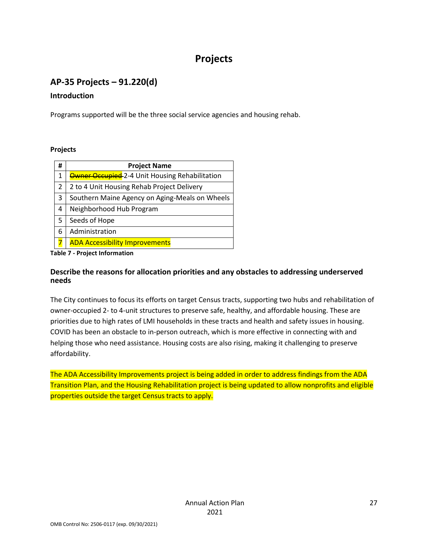# **Projects**

# **AP-35 Projects – 91.220(d)**

#### **Introduction**

Programs supported will be the three social service agencies and housing rehab.

#### **Projects**

| # | <b>Project Name</b>                                   |
|---|-------------------------------------------------------|
| 1 | <b>Owner Occupied</b> 2-4 Unit Housing Rehabilitation |
| 2 | 2 to 4 Unit Housing Rehab Project Delivery            |
| 3 | Southern Maine Agency on Aging-Meals on Wheels        |
| 4 | Neighborhood Hub Program                              |
| 5 | Seeds of Hope                                         |
| 6 | Administration                                        |
|   | <b>ADA Accessibility Improvements</b>                 |

**Table 7 - Project Information**

#### **Describe the reasons for allocation priorities and any obstacles to addressing underserved needs**

The City continues to focus its efforts on target Census tracts, supporting two hubs and rehabilitation of owner-occupied 2- to 4-unit structures to preserve safe, healthy, and affordable housing. These are priorities due to high rates of LMI households in these tracts and health and safety issues in housing. COVID has been an obstacle to in-person outreach, which is more effective in connecting with and helping those who need assistance. Housing costs are also rising, making it challenging to preserve affordability.

The ADA Accessibility Improvements project is being added in order to address findings from the ADA Transition Plan, and the Housing Rehabilitation project is being updated to allow nonprofits and eligible properties outside the target Census tracts to apply.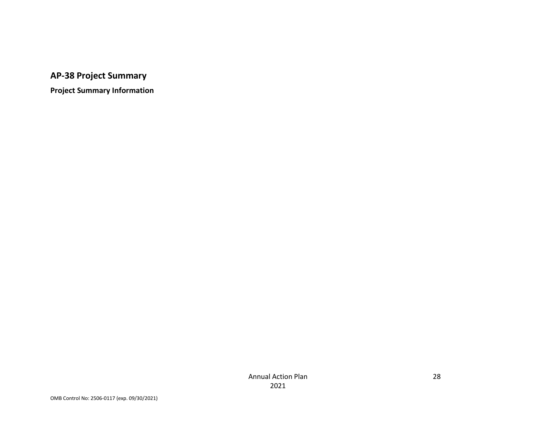# **AP-38 Project Summary**

**Project Summary Information**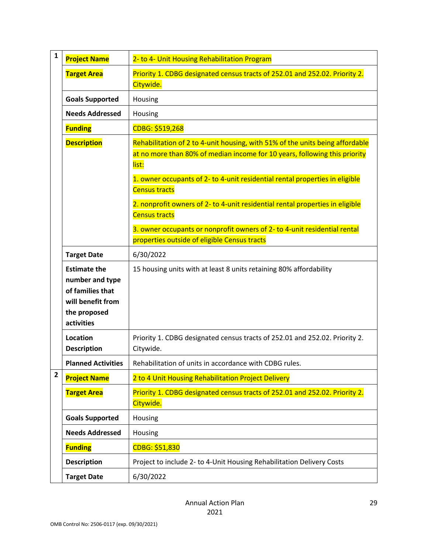| $\mathbf{1}$   | <b>Project Name</b>                                                                                           | 2- to 4- Unit Housing Rehabilitation Program                                                                                                                         |
|----------------|---------------------------------------------------------------------------------------------------------------|----------------------------------------------------------------------------------------------------------------------------------------------------------------------|
|                | <b>Target Area</b>                                                                                            | Priority 1. CDBG designated census tracts of 252.01 and 252.02. Priority 2.<br>Citywide.                                                                             |
|                | <b>Goals Supported</b>                                                                                        | Housing                                                                                                                                                              |
|                | <b>Needs Addressed</b>                                                                                        | Housing                                                                                                                                                              |
|                | <b>Funding</b>                                                                                                | CDBG: \$519,268                                                                                                                                                      |
|                | <b>Description</b>                                                                                            | Rehabilitation of 2 to 4-unit housing, with 51% of the units being affordable<br>at no more than 80% of median income for 10 years, following this priority<br>list: |
|                |                                                                                                               | 1. owner occupants of 2- to 4-unit residential rental properties in eligible<br><b>Census tracts</b>                                                                 |
|                |                                                                                                               | 2. nonprofit owners of 2- to 4-unit residential rental properties in eligible<br><b>Census tracts</b>                                                                |
|                |                                                                                                               | 3. owner occupants or nonprofit owners of 2- to 4-unit residential rental                                                                                            |
|                |                                                                                                               | properties outside of eligible Census tracts                                                                                                                         |
|                | <b>Target Date</b>                                                                                            | 6/30/2022                                                                                                                                                            |
|                | <b>Estimate the</b><br>number and type<br>of families that<br>will benefit from<br>the proposed<br>activities | 15 housing units with at least 8 units retaining 80% affordability                                                                                                   |
|                | Location<br><b>Description</b>                                                                                | Priority 1. CDBG designated census tracts of 252.01 and 252.02. Priority 2.<br>Citywide.                                                                             |
|                | <b>Planned Activities</b>                                                                                     | Rehabilitation of units in accordance with CDBG rules.                                                                                                               |
| $\overline{2}$ | <b>Project Name</b>                                                                                           | 2 to 4 Unit Housing Rehabilitation Project Delivery                                                                                                                  |
|                | <b>Target Area</b>                                                                                            | Priority 1. CDBG designated census tracts of 252.01 and 252.02. Priority 2.<br>Citywide.                                                                             |
|                | <b>Goals Supported</b>                                                                                        | Housing                                                                                                                                                              |
|                | <b>Needs Addressed</b>                                                                                        | Housing                                                                                                                                                              |
|                | <b>Funding</b>                                                                                                | CDBG: \$51,830                                                                                                                                                       |
|                | <b>Description</b>                                                                                            | Project to include 2- to 4-Unit Housing Rehabilitation Delivery Costs                                                                                                |
|                | <b>Target Date</b>                                                                                            | 6/30/2022                                                                                                                                                            |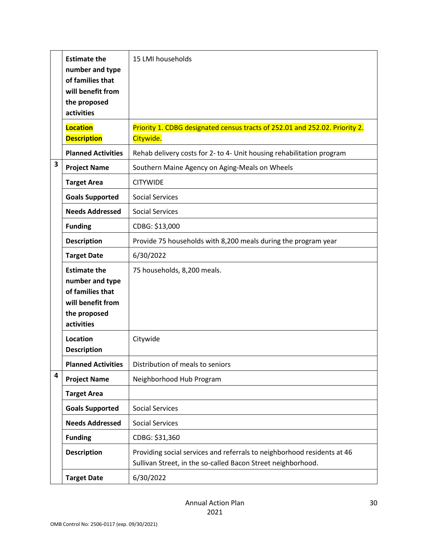|                         | <b>Estimate the</b><br>number and type<br>of families that<br>will benefit from<br>the proposed<br>activities | 15 LMI households                                                                                                                       |
|-------------------------|---------------------------------------------------------------------------------------------------------------|-----------------------------------------------------------------------------------------------------------------------------------------|
|                         | <b>Location</b><br><b>Description</b>                                                                         | Priority 1. CDBG designated census tracts of 252.01 and 252.02. Priority 2.<br>Citywide.                                                |
|                         | <b>Planned Activities</b>                                                                                     | Rehab delivery costs for 2- to 4- Unit housing rehabilitation program                                                                   |
| 3                       | <b>Project Name</b>                                                                                           | Southern Maine Agency on Aging-Meals on Wheels                                                                                          |
|                         | <b>Target Area</b>                                                                                            | <b>CITYWIDE</b>                                                                                                                         |
|                         | <b>Goals Supported</b>                                                                                        | <b>Social Services</b>                                                                                                                  |
|                         | <b>Needs Addressed</b>                                                                                        | <b>Social Services</b>                                                                                                                  |
|                         | <b>Funding</b>                                                                                                | CDBG: \$13,000                                                                                                                          |
|                         | <b>Description</b>                                                                                            | Provide 75 households with 8,200 meals during the program year                                                                          |
|                         | <b>Target Date</b>                                                                                            | 6/30/2022                                                                                                                               |
|                         | <b>Estimate the</b><br>number and type<br>of families that<br>will benefit from<br>the proposed<br>activities | 75 households, 8,200 meals.                                                                                                             |
|                         | Location<br><b>Description</b>                                                                                | Citywide                                                                                                                                |
|                         | <b>Planned Activities</b>                                                                                     | Distribution of meals to seniors                                                                                                        |
| $\overline{\mathbf{4}}$ | <b>Project Name</b>                                                                                           | Neighborhood Hub Program                                                                                                                |
|                         | <b>Target Area</b>                                                                                            |                                                                                                                                         |
|                         | <b>Goals Supported</b>                                                                                        | <b>Social Services</b>                                                                                                                  |
|                         | <b>Needs Addressed</b>                                                                                        | <b>Social Services</b>                                                                                                                  |
|                         | <b>Funding</b>                                                                                                | CDBG: \$31,360                                                                                                                          |
|                         | <b>Description</b>                                                                                            | Providing social services and referrals to neighborhood residents at 46<br>Sullivan Street, in the so-called Bacon Street neighborhood. |
|                         | <b>Target Date</b>                                                                                            | 6/30/2022                                                                                                                               |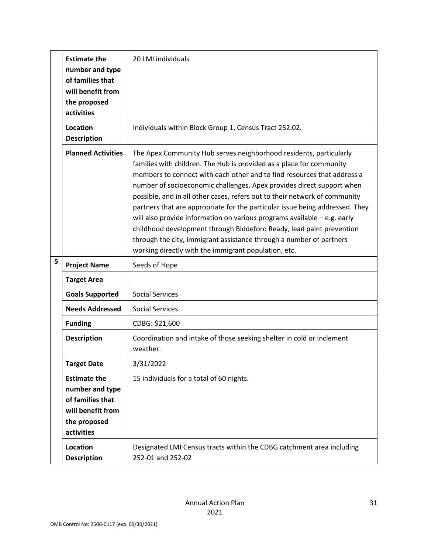|   | <b>Estimate the</b><br>number and type<br>of families that<br>will benefit from<br>the proposed<br>activities | 20 LMI individuals                                                                                                                                                                                                                                                                                                                                                                                                                                                                                                                                                                                                                                                                                                                                |
|---|---------------------------------------------------------------------------------------------------------------|---------------------------------------------------------------------------------------------------------------------------------------------------------------------------------------------------------------------------------------------------------------------------------------------------------------------------------------------------------------------------------------------------------------------------------------------------------------------------------------------------------------------------------------------------------------------------------------------------------------------------------------------------------------------------------------------------------------------------------------------------|
|   | Location<br><b>Description</b>                                                                                | Individuals within Block Group 1, Census Tract 252.02.                                                                                                                                                                                                                                                                                                                                                                                                                                                                                                                                                                                                                                                                                            |
|   | <b>Planned Activities</b>                                                                                     | The Apex Community Hub serves neighborhood residents, particularly<br>families with children. The Hub is provided as a place for community<br>members to connect with each other and to find resources that address a<br>number of socioeconomic challenges. Apex provides direct support when<br>possible, and in all other cases, refers out to their network of community<br>partners that are appropriate for the particular issue being addressed. They<br>will also provide information on various programs available $-$ e.g. early<br>childhood development through Biddeford Ready, lead paint prevention<br>through the city, immigrant assistance through a number of partners<br>working directly with the immigrant population, etc. |
| 5 | <b>Project Name</b>                                                                                           | Seeds of Hope                                                                                                                                                                                                                                                                                                                                                                                                                                                                                                                                                                                                                                                                                                                                     |
|   | <b>Target Area</b>                                                                                            |                                                                                                                                                                                                                                                                                                                                                                                                                                                                                                                                                                                                                                                                                                                                                   |
|   | <b>Goals Supported</b>                                                                                        | <b>Social Services</b>                                                                                                                                                                                                                                                                                                                                                                                                                                                                                                                                                                                                                                                                                                                            |
|   | <b>Needs Addressed</b>                                                                                        | <b>Social Services</b>                                                                                                                                                                                                                                                                                                                                                                                                                                                                                                                                                                                                                                                                                                                            |
|   | <b>Funding</b>                                                                                                | CDBG: \$21,600                                                                                                                                                                                                                                                                                                                                                                                                                                                                                                                                                                                                                                                                                                                                    |
|   | <b>Description</b>                                                                                            | Coordination and intake of those seeking shelter in cold or inclement<br>weather.                                                                                                                                                                                                                                                                                                                                                                                                                                                                                                                                                                                                                                                                 |
|   | <b>Target Date</b>                                                                                            | 3/31/2022                                                                                                                                                                                                                                                                                                                                                                                                                                                                                                                                                                                                                                                                                                                                         |
|   | <b>Estimate the</b><br>number and type<br>of families that<br>will benefit from                               | 15 individuals for a total of 60 nights.                                                                                                                                                                                                                                                                                                                                                                                                                                                                                                                                                                                                                                                                                                          |
|   | the proposed<br>activities                                                                                    |                                                                                                                                                                                                                                                                                                                                                                                                                                                                                                                                                                                                                                                                                                                                                   |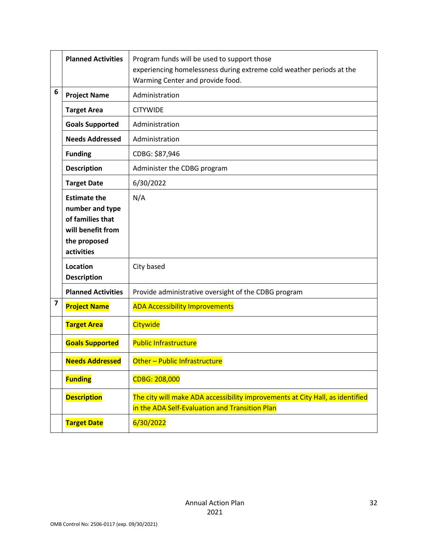|   | <b>Planned Activities</b>                                                                                     | Program funds will be used to support those<br>experiencing homelessness during extreme cold weather periods at the<br>Warming Center and provide food. |
|---|---------------------------------------------------------------------------------------------------------------|---------------------------------------------------------------------------------------------------------------------------------------------------------|
| 6 | <b>Project Name</b>                                                                                           | Administration                                                                                                                                          |
|   | <b>Target Area</b>                                                                                            | <b>CITYWIDE</b>                                                                                                                                         |
|   | <b>Goals Supported</b>                                                                                        | Administration                                                                                                                                          |
|   | <b>Needs Addressed</b>                                                                                        | Administration                                                                                                                                          |
|   | <b>Funding</b>                                                                                                | CDBG: \$87,946                                                                                                                                          |
|   | <b>Description</b>                                                                                            | Administer the CDBG program                                                                                                                             |
|   | <b>Target Date</b>                                                                                            | 6/30/2022                                                                                                                                               |
|   | <b>Estimate the</b><br>number and type<br>of families that<br>will benefit from<br>the proposed<br>activities | N/A                                                                                                                                                     |
|   | Location<br><b>Description</b>                                                                                | City based                                                                                                                                              |
|   | <b>Planned Activities</b>                                                                                     | Provide administrative oversight of the CDBG program                                                                                                    |
| 7 | <b>Project Name</b>                                                                                           | <b>ADA Accessibility Improvements</b>                                                                                                                   |
|   | <b>Target Area</b>                                                                                            | Citywide                                                                                                                                                |
|   | <b>Goals Supported</b>                                                                                        | <b>Public Infrastructure</b>                                                                                                                            |
|   | <b>Needs Addressed</b>                                                                                        | Other - Public Infrastructure                                                                                                                           |
|   | <b>Funding</b>                                                                                                | CDBG: 208,000                                                                                                                                           |
|   | <b>Description</b>                                                                                            | The city will make ADA accessibility improvements at City Hall, as identified<br>in the ADA Self-Evaluation and Transition Plan                         |
|   | <b>Target Date</b>                                                                                            | 6/30/2022                                                                                                                                               |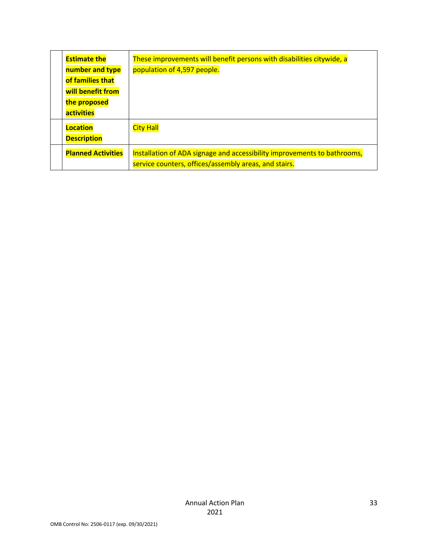| <b>Estimate the</b>       | These improvements will benefit persons with disabilities citywide, a    |
|---------------------------|--------------------------------------------------------------------------|
| number and type           | population of 4,597 people.                                              |
| of families that          |                                                                          |
| will benefit from         |                                                                          |
| the proposed              |                                                                          |
| <b>activities</b>         |                                                                          |
| <b>Location</b>           | <b>City Hall</b>                                                         |
| <b>Description</b>        |                                                                          |
| <b>Planned Activities</b> | Installation of ADA signage and accessibility improvements to bathrooms, |
|                           | service counters, offices/assembly areas, and stairs.                    |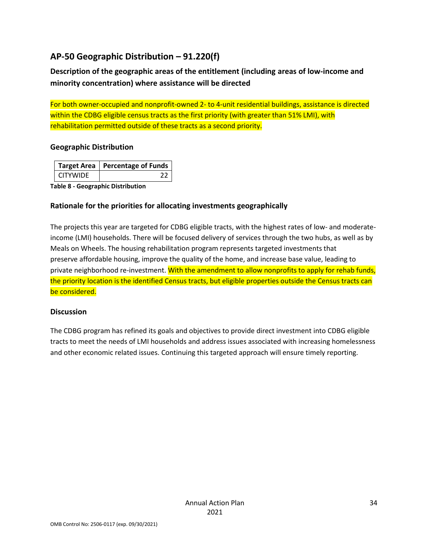# **AP-50 Geographic Distribution – 91.220(f)**

**Description of the geographic areas of the entitlement (including areas of low-income and minority concentration) where assistance will be directed**

For both owner-occupied and nonprofit-owned 2- to 4-unit residential buildings, assistance is directed within the CDBG eligible census tracts as the first priority (with greater than 51% LMI), with rehabilitation permitted outside of these tracts as a second priority.

#### **Geographic Distribution**

|                 | Target Area   Percentage of Funds |
|-----------------|-----------------------------------|
| <b>CITYWIDE</b> |                                   |

**Table 8 - Geographic Distribution** 

#### **Rationale for the priorities for allocating investments geographically**

The projects this year are targeted for CDBG eligible tracts, with the highest rates of low- and moderateincome (LMI) households. There will be focused delivery of services through the two hubs, as well as by Meals on Wheels. The housing rehabilitation program represents targeted investments that preserve affordable housing, improve the quality of the home, and increase base value, leading to private neighborhood re-investment. With the amendment to allow nonprofits to apply for rehab funds, the priority location is the identified Census tracts, but eligible properties outside the Census tracts can be considered.

#### **Discussion**

The CDBG program has refined its goals and objectives to provide direct investment into CDBG eligible tracts to meet the needs of LMI households and address issues associated with increasing homelessness and other economic related issues. Continuing this targeted approach will ensure timely reporting.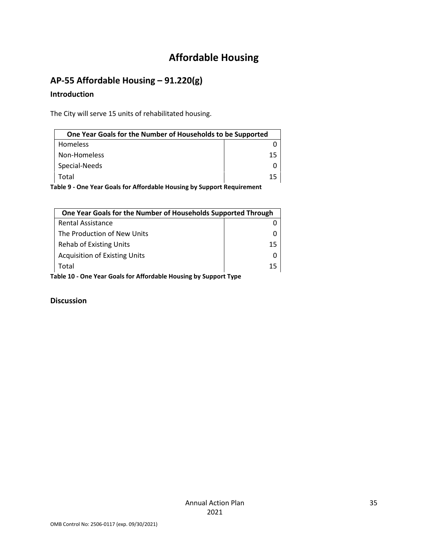# **Affordable Housing**

# **AP-55 Affordable Housing – 91.220(g)**

#### **Introduction**

The City will serve 15 units of rehabilitated housing.

| One Year Goals for the Number of Households to be Supported             |    |  |
|-------------------------------------------------------------------------|----|--|
| <b>Homeless</b>                                                         |    |  |
| Non-Homeless                                                            | 15 |  |
| Special-Needs                                                           |    |  |
| Total                                                                   | 15 |  |
| 'akia Ang Marang Pagla fan Affandakia Harreina kriftmaant Damining ment |    |  |

**Table 9 - One Year Goals for Affordable Housing by Support Requirement**

|                                                                  | One Year Goals for the Number of Households Supported Through |    |
|------------------------------------------------------------------|---------------------------------------------------------------|----|
|                                                                  | <b>Rental Assistance</b>                                      |    |
|                                                                  | The Production of New Units                                   |    |
|                                                                  | <b>Rehab of Existing Units</b>                                | 15 |
|                                                                  | <b>Acquisition of Existing Units</b>                          |    |
|                                                                  | Total                                                         | 15 |
| Table 10 - One Year Goals for Affordable Housing by Support Type |                                                               |    |

**Discussion**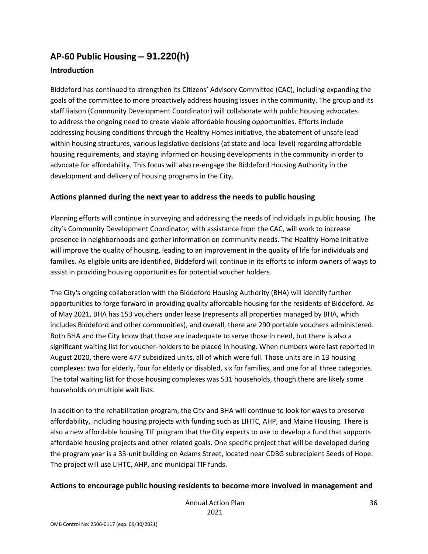# **AP-60 Public Housing** *–* **91.220(h)**

#### **Introduction**

Biddeford has continued to strengthen its Citizens' Advisory Committee (CAC), including expanding the goals of the committee to more proactively address housing issues in the community. The group and its staff liaison (Community Development Coordinator) will collaborate with public housing advocates to address the ongoing need to create viable affordable housing opportunities. Efforts include addressing housing conditions through the Healthy Homes initiative, the abatement of unsafe lead within housing structures, various legislative decisions (at state and local level) regarding affordable housing requirements, and staying informed on housing developments in the community in order to advocate for affordability. This focus will also re-engage the Biddeford Housing Authority in the development and delivery of housing programs in the City.

#### **Actions planned during the next year to address the needs to public housing**

Planning efforts will continue in surveying and addressing the needs of individuals in public housing. The city's Community Development Coordinator, with assistance from the CAC, will work to increase presence in neighborhoods and gather information on community needs. The Healthy Home Initiative will improve the quality of housing, leading to an improvement in the quality of life for individuals and families. As eligible units are identified, Biddeford will continue in its efforts to inform owners of ways to assist in providing housing opportunities for potential voucher holders.

The City's ongoing collaboration with the Biddeford Housing Authority (BHA) will identify further opportunities to forge forward in providing quality affordable housing for the residents of Biddeford. As of May 2021, BHA has 153 vouchers under lease (represents all properties managed by BHA, which includes Biddeford and other communities), and overall, there are 290 portable vouchers administered. Both BHA and the City know that those are inadequate to serve those in need, but there is also a significant waiting list for voucher-holders to be placed in housing. When numbers were last reported in August 2020, there were 477 subsidized units, all of which were full. Those units are in 13 housing complexes: two for elderly, four for elderly or disabled, six for families, and one for all three categories. The total waiting list for those housing complexes was 531 households, though there are likely some households on multiple wait lists.

In addition to the rehabilitation program, the City and BHA will continue to look for ways to preserve affordability, including housing projects with funding such as LIHTC, AHP, and Maine Housing. There is also a new affordable housing TIF program that the City expects to use to develop a fund that supports affordable housing projects and other related goals. One specific project that will be developed during the program year is a 33-unit building on Adams Street, located near CDBG subrecipient Seeds of Hope. The project will use LIHTC, AHP, and municipal TIF funds.

#### **Actions to encourage public housing residents to become more involved in management and**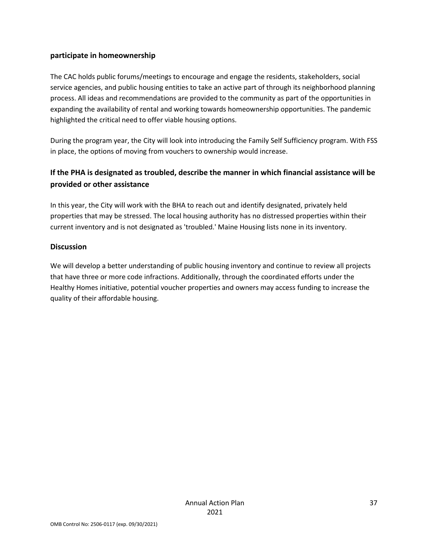#### **participate in homeownership**

The CAC holds public forums/meetings to encourage and engage the residents, stakeholders, social service agencies, and public housing entities to take an active part of through its neighborhood planning process. All ideas and recommendations are provided to the community as part of the opportunities in expanding the availability of rental and working towards homeownership opportunities. The pandemic highlighted the critical need to offer viable housing options.

During the program year, the City will look into introducing the Family Self Sufficiency program. With FSS in place, the options of moving from vouchers to ownership would increase.

### **If the PHA is designated as troubled, describe the manner in which financial assistance will be provided or other assistance**

In this year, the City will work with the BHA to reach out and identify designated, privately held properties that may be stressed. The local housing authority has no distressed properties within their current inventory and is not designated as 'troubled.' Maine Housing lists none in its inventory.

#### **Discussion**

We will develop a better understanding of public housing inventory and continue to review all projects that have three or more code infractions. Additionally, through the coordinated efforts under the Healthy Homes initiative, potential voucher properties and owners may access funding to increase the quality of their affordable housing.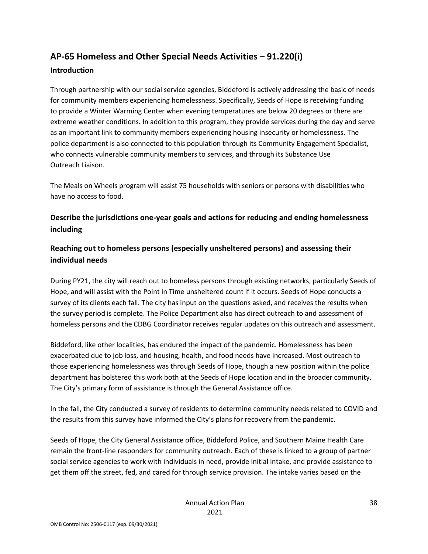# **AP-65 Homeless and Other Special Needs Activities – 91.220(i)**

#### **Introduction**

Through partnership with our social service agencies, Biddeford is actively addressing the basic of needs for community members experiencing homelessness. Specifically, Seeds of Hope is receiving funding to provide a Winter Warming Center when evening temperatures are below 20 degrees or there are extreme weather conditions. In addition to this program, they provide services during the day and serve as an important link to community members experiencing housing insecurity or homelessness. The police department is also connected to this population through its Community Engagement Specialist, who connects vulnerable community members to services, and through its Substance Use Outreach Liaison.

The Meals on Wheels program will assist 75 households with seniors or persons with disabilities who have no access to food.

### **Describe the jurisdictions one-year goals and actions for reducing and ending homelessness including**

### **Reaching out to homeless persons (especially unsheltered persons) and assessing their individual needs**

During PY21, the city will reach out to homeless persons through existing networks, particularly Seeds of Hope, and will assist with the Point in Time unsheltered count if it occurs. Seeds of Hope conducts a survey of its clients each fall. The city has input on the questions asked, and receives the results when the survey period is complete. The Police Department also has direct outreach to and assessment of homeless persons and the CDBG Coordinator receives regular updates on this outreach and assessment.

Biddeford, like other localities, has endured the impact of the pandemic. Homelessness has been exacerbated due to job loss, and housing, health, and food needs have increased. Most outreach to those experiencing homelessness was through Seeds of Hope, though a new position within the police department has bolstered this work both at the Seeds of Hope location and in the broader community. The City's primary form of assistance is through the General Assistance office.

In the fall, the City conducted a survey of residents to determine community needs related to COVID and the results from this survey have informed the City's plans for recovery from the pandemic.

Seeds of Hope, the City General Assistance office, Biddeford Police, and Southern Maine Health Care remain the front-line responders for community outreach. Each of these is linked to a group of partner social service agencies to work with individuals in need, provide initial intake, and provide assistance to get them off the street, fed, and cared for through service provision. The intake varies based on the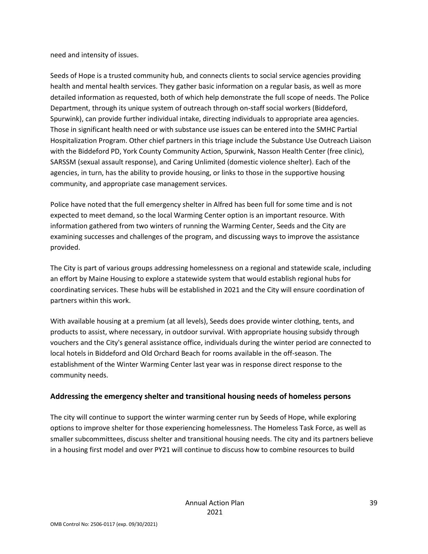need and intensity of issues.

Seeds of Hope is a trusted community hub, and connects clients to social service agencies providing health and mental health services. They gather basic information on a regular basis, as well as more detailed information as requested, both of which help demonstrate the full scope of needs. The Police Department, through its unique system of outreach through on-staff social workers (Biddeford, Spurwink), can provide further individual intake, directing individuals to appropriate area agencies. Those in significant health need or with substance use issues can be entered into the SMHC Partial Hospitalization Program. Other chief partners in this triage include the Substance Use Outreach Liaison with the Biddeford PD, York County Community Action, Spurwink, Nasson Health Center (free clinic), SARSSM (sexual assault response), and Caring Unlimited (domestic violence shelter). Each of the agencies, in turn, has the ability to provide housing, or links to those in the supportive housing community, and appropriate case management services.

Police have noted that the full emergency shelter in Alfred has been full for some time and is not expected to meet demand, so the local Warming Center option is an important resource. With information gathered from two winters of running the Warming Center, Seeds and the City are examining successes and challenges of the program, and discussing ways to improve the assistance provided.

The City is part of various groups addressing homelessness on a regional and statewide scale, including an effort by Maine Housing to explore a statewide system that would establish regional hubs for coordinating services. These hubs will be established in 2021 and the City will ensure coordination of partners within this work.

With available housing at a premium (at all levels), Seeds does provide winter clothing, tents, and products to assist, where necessary, in outdoor survival. With appropriate housing subsidy through vouchers and the City's general assistance office, individuals during the winter period are connected to local hotels in Biddeford and Old Orchard Beach for rooms available in the off-season. The establishment of the Winter Warming Center last year was in response direct response to the community needs.

#### **Addressing the emergency shelter and transitional housing needs of homeless persons**

The city will continue to support the winter warming center run by Seeds of Hope, while exploring options to improve shelter for those experiencing homelessness. The Homeless Task Force, as well as smaller subcommittees, discuss shelter and transitional housing needs. The city and its partners believe in a housing first model and over PY21 will continue to discuss how to combine resources to build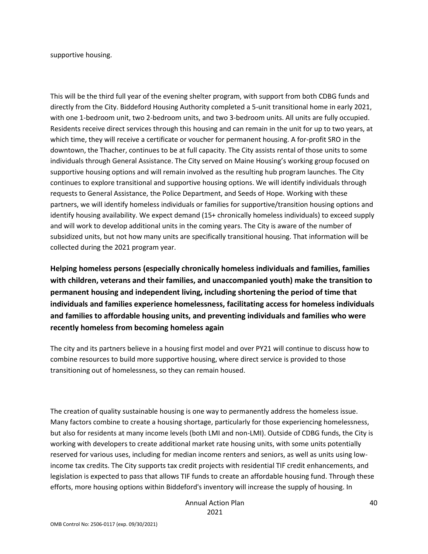supportive housing.

This will be the third full year of the evening shelter program, with support from both CDBG funds and directly from the City. Biddeford Housing Authority completed a 5-unit transitional home in early 2021, with one 1-bedroom unit, two 2-bedroom units, and two 3-bedroom units. All units are fully occupied. Residents receive direct services through this housing and can remain in the unit for up to two years, at which time, they will receive a certificate or voucher for permanent housing. A for-profit SRO in the downtown, the Thacher, continues to be at full capacity. The City assists rental of those units to some individuals through General Assistance. The City served on Maine Housing's working group focused on supportive housing options and will remain involved as the resulting hub program launches. The City continues to explore transitional and supportive housing options. We will identify individuals through requests to General Assistance, the Police Department, and Seeds of Hope. Working with these partners, we will identify homeless individuals or families for supportive/transition housing options and identify housing availability. We expect demand (15+ chronically homeless individuals) to exceed supply and will work to develop additional units in the coming years. The City is aware of the number of subsidized units, but not how many units are specifically transitional housing. That information will be collected during the 2021 program year.

**Helping homeless persons (especially chronically homeless individuals and families, families with children, veterans and their families, and unaccompanied youth) make the transition to permanent housing and independent living, including shortening the period of time that individuals and families experience homelessness, facilitating access for homeless individuals and families to affordable housing units, and preventing individuals and families who were recently homeless from becoming homeless again**

The city and its partners believe in a housing first model and over PY21 will continue to discuss how to combine resources to build more supportive housing, where direct service is provided to those transitioning out of homelessness, so they can remain housed.

The creation of quality sustainable housing is one way to permanently address the homeless issue. Many factors combine to create a housing shortage, particularly for those experiencing homelessness, but also for residents at many income levels (both LMI and non-LMI). Outside of CDBG funds, the City is working with developers to create additional market rate housing units, with some units potentially reserved for various uses, including for median income renters and seniors, as well as units using lowincome tax credits. The City supports tax credit projects with residential TIF credit enhancements, and legislation is expected to pass that allows TIF funds to create an affordable housing fund. Through these efforts, more housing options within Biddeford's inventory will increase the supply of housing. In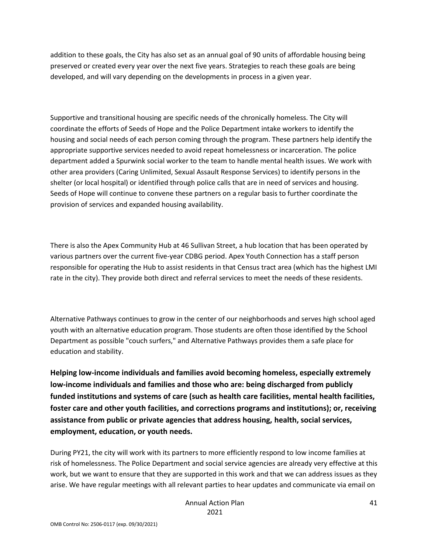addition to these goals, the City has also set as an annual goal of 90 units of affordable housing being preserved or created every year over the next five years. Strategies to reach these goals are being developed, and will vary depending on the developments in process in a given year.

Supportive and transitional housing are specific needs of the chronically homeless. The City will coordinate the efforts of Seeds of Hope and the Police Department intake workers to identify the housing and social needs of each person coming through the program. These partners help identify the appropriate supportive services needed to avoid repeat homelessness or incarceration. The police department added a Spurwink social worker to the team to handle mental health issues. We work with other area providers (Caring Unlimited, Sexual Assault Response Services) to identify persons in the shelter (or local hospital) or identified through police calls that are in need of services and housing. Seeds of Hope will continue to convene these partners on a regular basis to further coordinate the provision of services and expanded housing availability.

There is also the Apex Community Hub at 46 Sullivan Street, a hub location that has been operated by various partners over the current five-year CDBG period. Apex Youth Connection has a staff person responsible for operating the Hub to assist residents in that Census tract area (which has the highest LMI rate in the city). They provide both direct and referral services to meet the needs of these residents.

Alternative Pathways continues to grow in the center of our neighborhoods and serves high school aged youth with an alternative education program. Those students are often those identified by the School Department as possible "couch surfers," and Alternative Pathways provides them a safe place for education and stability.

**Helping low-income individuals and families avoid becoming homeless, especially extremely low-income individuals and families and those who are: being discharged from publicly funded institutions and systems of care (such as health care facilities, mental health facilities, foster care and other youth facilities, and corrections programs and institutions); or, receiving assistance from public or private agencies that address housing, health, social services, employment, education, or youth needs.**

During PY21, the city will work with its partners to more efficiently respond to low income families at risk of homelessness. The Police Department and social service agencies are already very effective at this work, but we want to ensure that they are supported in this work and that we can address issues as they arise. We have regular meetings with all relevant parties to hear updates and communicate via email on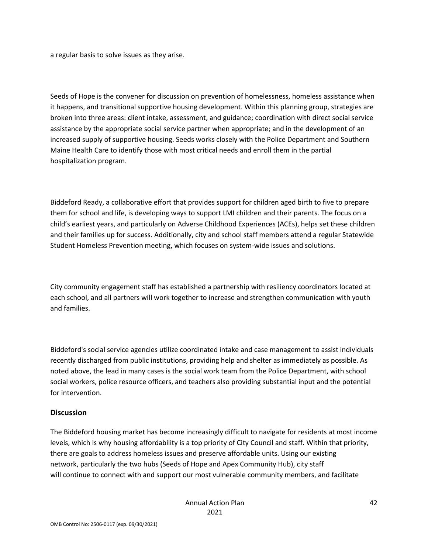a regular basis to solve issues as they arise.

Seeds of Hope is the convener for discussion on prevention of homelessness, homeless assistance when it happens, and transitional supportive housing development. Within this planning group, strategies are broken into three areas: client intake, assessment, and guidance; coordination with direct social service assistance by the appropriate social service partner when appropriate; and in the development of an increased supply of supportive housing. Seeds works closely with the Police Department and Southern Maine Health Care to identify those with most critical needs and enroll them in the partial hospitalization program.

Biddeford Ready, a collaborative effort that provides support for children aged birth to five to prepare them for school and life, is developing ways to support LMI children and their parents. The focus on a child's earliest years, and particularly on Adverse Childhood Experiences (ACEs), helps set these children and their families up for success. Additionally, city and school staff members attend a regular Statewide Student Homeless Prevention meeting, which focuses on system-wide issues and solutions.

City community engagement staff has established a partnership with resiliency coordinators located at each school, and all partners will work together to increase and strengthen communication with youth and families.

Biddeford's social service agencies utilize coordinated intake and case management to assist individuals recently discharged from public institutions, providing help and shelter as immediately as possible. As noted above, the lead in many cases is the social work team from the Police Department, with school social workers, police resource officers, and teachers also providing substantial input and the potential for intervention.

#### **Discussion**

The Biddeford housing market has become increasingly difficult to navigate for residents at most income levels, which is why housing affordability is a top priority of City Council and staff. Within that priority, there are goals to address homeless issues and preserve affordable units. Using our existing network, particularly the two hubs (Seeds of Hope and Apex Community Hub), city staff will continue to connect with and support our most vulnerable community members, and facilitate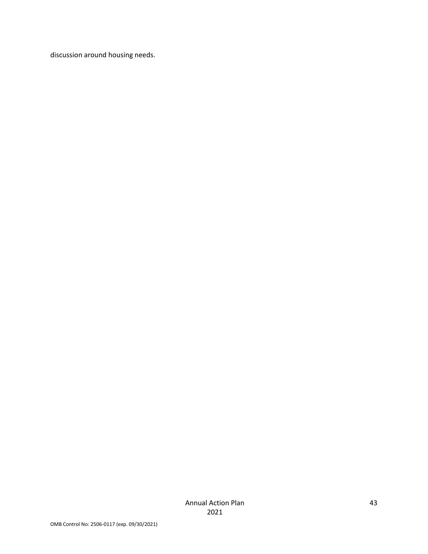discussion around housing needs.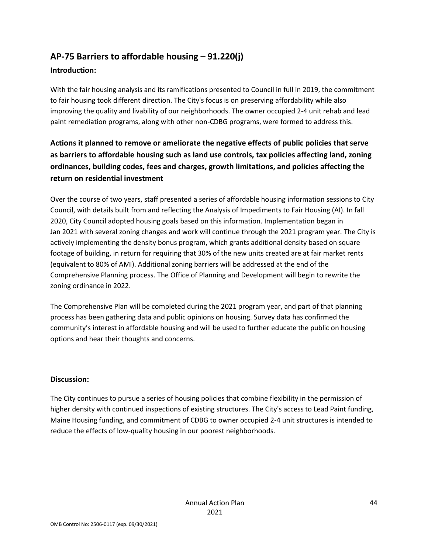# **AP-75 Barriers to affordable housing – 91.220(j)**

#### **Introduction:**

With the fair housing analysis and its ramifications presented to Council in full in 2019, the commitment to fair housing took different direction. The City's focus is on preserving affordability while also improving the quality and livability of our neighborhoods. The owner occupied 2-4 unit rehab and lead paint remediation programs, along with other non-CDBG programs, were formed to address this.

## **Actions it planned to remove or ameliorate the negative effects of public policies that serve as barriers to affordable housing such as land use controls, tax policies affecting land, zoning ordinances, building codes, fees and charges, growth limitations, and policies affecting the return on residential investment**

Over the course of two years, staff presented a series of affordable housing information sessions to City Council, with details built from and reflecting the Analysis of Impediments to Fair Housing (AI). In fall 2020, City Council adopted housing goals based on this information. Implementation began in Jan 2021 with several zoning changes and work will continue through the 2021 program year. The City is actively implementing the density bonus program, which grants additional density based on square footage of building, in return for requiring that 30% of the new units created are at fair market rents (equivalent to 80% of AMI). Additional zoning barriers will be addressed at the end of the Comprehensive Planning process. The Office of Planning and Development will begin to rewrite the zoning ordinance in 2022.

The Comprehensive Plan will be completed during the 2021 program year, and part of that planning process has been gathering data and public opinions on housing. Survey data has confirmed the community's interest in affordable housing and will be used to further educate the public on housing options and hear their thoughts and concerns.

#### **Discussion:**

The City continues to pursue a series of housing policies that combine flexibility in the permission of higher density with continued inspections of existing structures. The City's access to Lead Paint funding, Maine Housing funding, and commitment of CDBG to owner occupied 2-4 unit structures is intended to reduce the effects of low-quality housing in our poorest neighborhoods.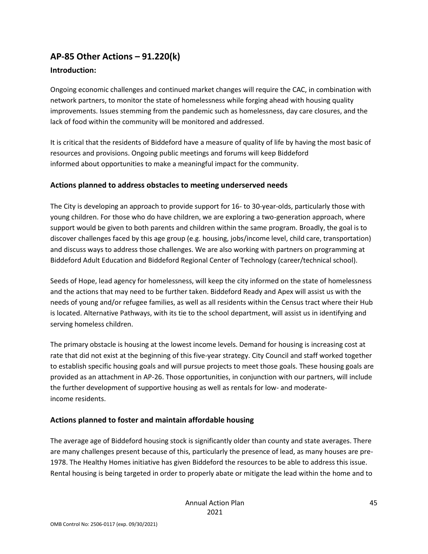## **AP-85 Other Actions – 91.220(k)**

#### **Introduction:**

Ongoing economic challenges and continued market changes will require the CAC, in combination with network partners, to monitor the state of homelessness while forging ahead with housing quality improvements. Issues stemming from the pandemic such as homelessness, day care closures, and the lack of food within the community will be monitored and addressed.

It is critical that the residents of Biddeford have a measure of quality of life by having the most basic of resources and provisions. Ongoing public meetings and forums will keep Biddeford informed about opportunities to make a meaningful impact for the community.

#### **Actions planned to address obstacles to meeting underserved needs**

The City is developing an approach to provide support for 16- to 30-year-olds, particularly those with young children. For those who do have children, we are exploring a two-generation approach, where support would be given to both parents and children within the same program. Broadly, the goal is to discover challenges faced by this age group (e.g. housing, jobs/income level, child care, transportation) and discuss ways to address those challenges. We are also working with partners on programming at Biddeford Adult Education and Biddeford Regional Center of Technology (career/technical school).

Seeds of Hope, lead agency for homelessness, will keep the city informed on the state of homelessness and the actions that may need to be further taken. Biddeford Ready and Apex will assist us with the needs of young and/or refugee families, as well as all residents within the Census tract where their Hub is located. Alternative Pathways, with its tie to the school department, will assist us in identifying and serving homeless children.

The primary obstacle is housing at the lowest income levels. Demand for housing is increasing cost at rate that did not exist at the beginning of this five-year strategy. City Council and staff worked together to establish specific housing goals and will pursue projects to meet those goals. These housing goals are provided as an attachment in AP-26. Those opportunities, in conjunction with our partners, will include the further development of supportive housing as well as rentals for low- and moderateincome residents.

#### **Actions planned to foster and maintain affordable housing**

The average age of Biddeford housing stock is significantly older than county and state averages. There are many challenges present because of this, particularly the presence of lead, as many houses are pre-1978. The Healthy Homes initiative has given Biddeford the resources to be able to address this issue. Rental housing is being targeted in order to properly abate or mitigate the lead within the home and to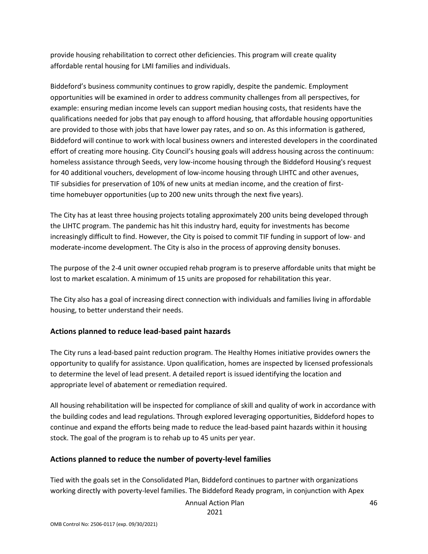provide housing rehabilitation to correct other deficiencies. This program will create quality affordable rental housing for LMI families and individuals.

Biddeford's business community continues to grow rapidly, despite the pandemic. Employment opportunities will be examined in order to address community challenges from all perspectives, for example: ensuring median income levels can support median housing costs, that residents have the qualifications needed for jobs that pay enough to afford housing, that affordable housing opportunities are provided to those with jobs that have lower pay rates, and so on. As this information is gathered, Biddeford will continue to work with local business owners and interested developers in the coordinated effort of creating more housing. City Council's housing goals will address housing across the continuum: homeless assistance through Seeds, very low-income housing through the Biddeford Housing's request for 40 additional vouchers, development of low-income housing through LIHTC and other avenues, TIF subsidies for preservation of 10% of new units at median income, and the creation of firsttime homebuyer opportunities (up to 200 new units through the next five years).

The City has at least three housing projects totaling approximately 200 units being developed through the LIHTC program. The pandemic has hit this industry hard, equity for investments has become increasingly difficult to find. However, the City is poised to commit TIF funding in support of low- and moderate-income development. The City is also in the process of approving density bonuses.

The purpose of the 2-4 unit owner occupied rehab program is to preserve affordable units that might be lost to market escalation. A minimum of 15 units are proposed for rehabilitation this year.

The City also has a goal of increasing direct connection with individuals and families living in affordable housing, to better understand their needs.

#### **Actions planned to reduce lead-based paint hazards**

The City runs a lead-based paint reduction program. The Healthy Homes initiative provides owners the opportunity to qualify for assistance. Upon qualification, homes are inspected by licensed professionals to determine the level of lead present. A detailed report is issued identifying the location and appropriate level of abatement or remediation required.

All housing rehabilitation will be inspected for compliance of skill and quality of work in accordance with the building codes and lead regulations. Through explored leveraging opportunities, Biddeford hopes to continue and expand the efforts being made to reduce the lead-based paint hazards within it housing stock. The goal of the program is to rehab up to 45 units per year.

#### **Actions planned to reduce the number of poverty-level families**

Tied with the goals set in the Consolidated Plan, Biddeford continues to partner with organizations working directly with poverty-level families. The Biddeford Ready program, in conjunction with Apex

Annual Action Plan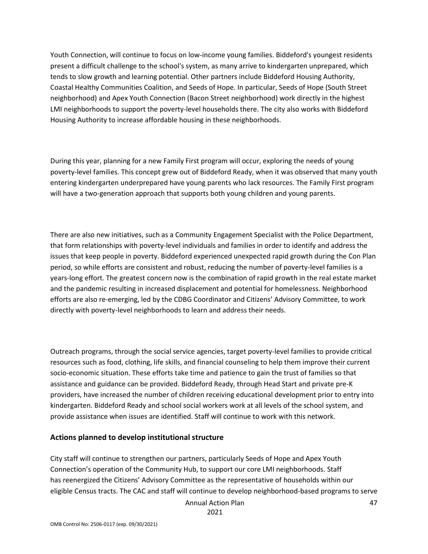Youth Connection, will continue to focus on low-income young families. Biddeford's youngest residents present a difficult challenge to the school's system, as many arrive to kindergarten unprepared, which tends to slow growth and learning potential. Other partners include Biddeford Housing Authority, Coastal Healthy Communities Coalition, and Seeds of Hope. In particular, Seeds of Hope (South Street neighborhood) and Apex Youth Connection (Bacon Street neighborhood) work directly in the highest LMI neighborhoods to support the poverty-level households there. The city also works with Biddeford Housing Authority to increase affordable housing in these neighborhoods.

During this year, planning for a new Family First program will occur, exploring the needs of young poverty-level families. This concept grew out of Biddeford Ready, when it was observed that many youth entering kindergarten underprepared have young parents who lack resources. The Family First program will have a two-generation approach that supports both young children and young parents.

There are also new initiatives, such as a Community Engagement Specialist with the Police Department, that form relationships with poverty-level individuals and families in order to identify and address the issues that keep people in poverty. Biddeford experienced unexpected rapid growth during the Con Plan period, so while efforts are consistent and robust, reducing the number of poverty-level families is a years-long effort. The greatest concern now is the combination of rapid growth in the real estate market and the pandemic resulting in increased displacement and potential for homelessness. Neighborhood efforts are also re-emerging, led by the CDBG Coordinator and Citizens' Advisory Committee, to work directly with poverty-level neighborhoods to learn and address their needs.

Outreach programs, through the social service agencies, target poverty-level families to provide critical resources such as food, clothing, life skills, and financial counseling to help them improve their current socio-economic situation. These efforts take time and patience to gain the trust of families so that assistance and guidance can be provided. Biddeford Ready, through Head Start and private pre-K providers, have increased the number of children receiving educational development prior to entry into kindergarten. Biddeford Ready and school social workers work at all levels of the school system, and provide assistance when issues are identified. Staff will continue to work with this network.

#### **Actions planned to develop institutional structure**

City staff will continue to strengthen our partners, particularly Seeds of Hope and Apex Youth Connection's operation of the Community Hub, to support our core LMI neighborhoods. Staff has reenergized the Citizens' Advisory Committee as the representative of households within our eligible Census tracts. The CAC and staff will continue to develop neighborhood-based programs to serve

Annual Action Plan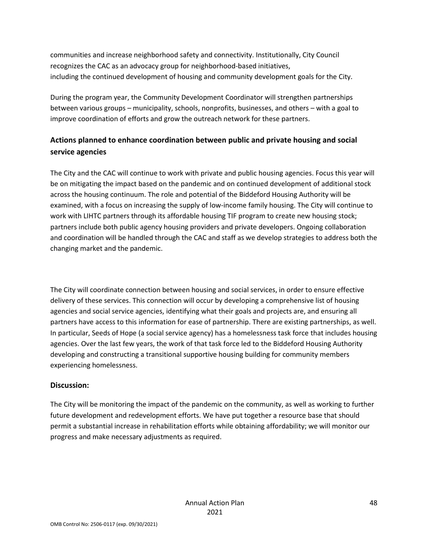communities and increase neighborhood safety and connectivity. Institutionally, City Council recognizes the CAC as an advocacy group for neighborhood-based initiatives, including the continued development of housing and community development goals for the City.

During the program year, the Community Development Coordinator will strengthen partnerships between various groups – municipality, schools, nonprofits, businesses, and others – with a goal to improve coordination of efforts and grow the outreach network for these partners.

### **Actions planned to enhance coordination between public and private housing and social service agencies**

The City and the CAC will continue to work with private and public housing agencies. Focus this year will be on mitigating the impact based on the pandemic and on continued development of additional stock across the housing continuum. The role and potential of the Biddeford Housing Authority will be examined, with a focus on increasing the supply of low-income family housing. The City will continue to work with LIHTC partners through its affordable housing TIF program to create new housing stock; partners include both public agency housing providers and private developers. Ongoing collaboration and coordination will be handled through the CAC and staff as we develop strategies to address both the changing market and the pandemic.

The City will coordinate connection between housing and social services, in order to ensure effective delivery of these services. This connection will occur by developing a comprehensive list of housing agencies and social service agencies, identifying what their goals and projects are, and ensuring all partners have access to this information for ease of partnership. There are existing partnerships, as well. In particular, Seeds of Hope (a social service agency) has a homelessness task force that includes housing agencies. Over the last few years, the work of that task force led to the Biddeford Housing Authority developing and constructing a transitional supportive housing building for community members experiencing homelessness.

#### **Discussion:**

The City will be monitoring the impact of the pandemic on the community, as well as working to further future development and redevelopment efforts. We have put together a resource base that should permit a substantial increase in rehabilitation efforts while obtaining affordability; we will monitor our progress and make necessary adjustments as required.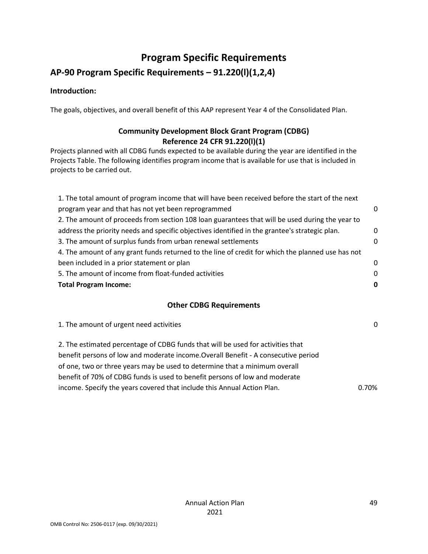# **Program Specific Requirements**

## **AP-90 Program Specific Requirements – 91.220(l)(1,2,4)**

#### **Introduction:**

The goals, objectives, and overall benefit of this AAP represent Year 4 of the Consolidated Plan.

### **Community Development Block Grant Program (CDBG) Reference 24 CFR 91.220(l)(1)**

Projects planned with all CDBG funds expected to be available during the year are identified in the Projects Table. The following identifies program income that is available for use that is included in projects to be carried out.

| 1. The total amount of program income that will have been received before the start of the next   |          |
|---------------------------------------------------------------------------------------------------|----------|
| program year and that has not yet been reprogrammed                                               | 0        |
| 2. The amount of proceeds from section 108 loan guarantees that will be used during the year to   |          |
| address the priority needs and specific objectives identified in the grantee's strategic plan.    | 0        |
| 3. The amount of surplus funds from urban renewal settlements                                     | $\Omega$ |
| 4. The amount of any grant funds returned to the line of credit for which the planned use has not |          |
| been included in a prior statement or plan                                                        | 0        |
| 5. The amount of income from float-funded activities                                              | $\Omega$ |
| <b>Total Program Income:</b>                                                                      | 0        |
|                                                                                                   |          |

#### **Other CDBG Requirements**

1. The amount of urgent need activities 0 2. The estimated percentage of CDBG funds that will be used for activities that benefit persons of low and moderate income.Overall Benefit - A consecutive period of one, two or three years may be used to determine that a minimum overall benefit of 70% of CDBG funds is used to benefit persons of low and moderate income. Specify the years covered that include this Annual Action Plan. 0.70%